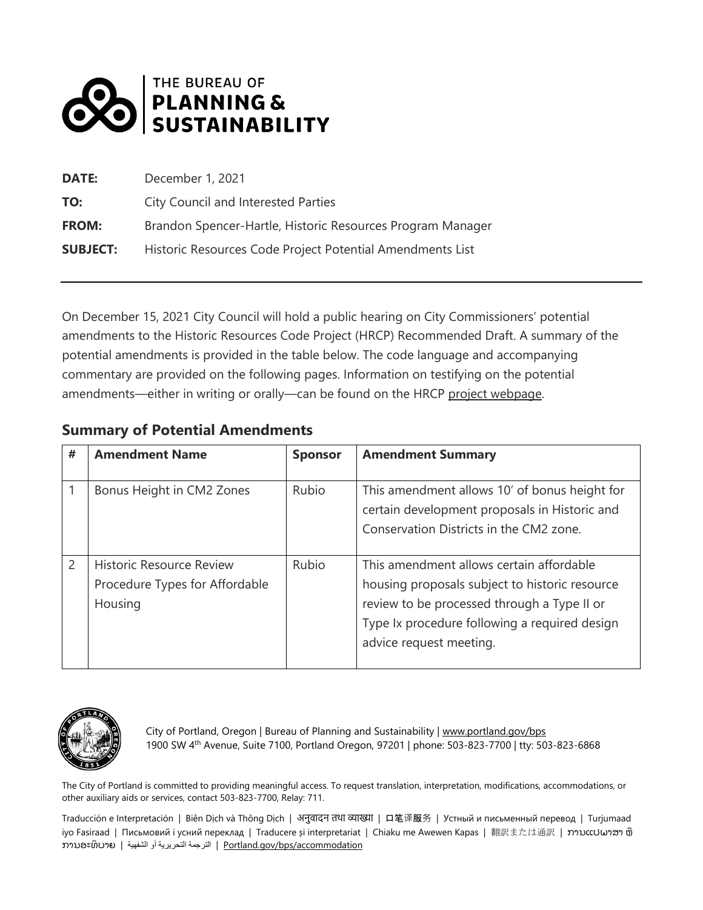

| <b>DATE:</b>    | December 1, 2021                                           |
|-----------------|------------------------------------------------------------|
| TO:             | City Council and Interested Parties                        |
| <b>FROM:</b>    | Brandon Spencer-Hartle, Historic Resources Program Manager |
| <b>SUBJECT:</b> | Historic Resources Code Project Potential Amendments List  |

On December 15, 2021 City Council will hold a public hearing on City Commissioners' potential amendments to the Historic Resources Code Project (HRCP) Recommended Draft. A summary of the potential amendments is provided in the table below. The code language and accompanying commentary are provided on the following pages. Information on testifying on the potential amendments—either in writing or orally—can be found on the HRCP [project webpage.](https://www.portland.gov/bps/hrcp/hrcp-recommended-draft-overview/learn-more-and-testify)

## **Summary of Potential Amendments**

| #              | <b>Amendment Name</b>                                                        | <b>Sponsor</b> | <b>Amendment Summary</b>                                                                                                                                                                                              |
|----------------|------------------------------------------------------------------------------|----------------|-----------------------------------------------------------------------------------------------------------------------------------------------------------------------------------------------------------------------|
|                | Bonus Height in CM2 Zones                                                    | Rubio          | This amendment allows 10' of bonus height for<br>certain development proposals in Historic and<br>Conservation Districts in the CM2 zone.                                                                             |
| $\overline{2}$ | <b>Historic Resource Review</b><br>Procedure Types for Affordable<br>Housing | Rubio          | This amendment allows certain affordable<br>housing proposals subject to historic resource<br>review to be processed through a Type II or<br>Type Ix procedure following a required design<br>advice request meeting. |



City of Portland, Oregon | Bureau of Planning and Sustainability [| www.portland.gov/bps](http://www.portland.gov/bps) 1900 SW 4th Avenue, Suite 7100, Portland Oregon, 97201 | phone: 503-823-7700 | tty: 503-823-6868

The City of Portland is committed to providing meaningful access. To request translation, interpretation, modifications, accommodations, or other auxiliary aids or services, contact 503-823-7700, Relay: 711.

Traducción e Interpretación | Biên Dịch và Thông Dịch | 어긋데더 레이 예정제 | 口笔译服务 | Устный и письменный перевод | Turjumaad iyo Fasiraad | Письмовий і усний переклад | Traducere și interpretariat | Chiaku me Awewen Kapas | 翻訳または通訳 | ການແປພາສາ ຫຼື ການອະທິບາຍ | الترجمة التحریریة أو الشفهیة | ອານອະທິບາຍ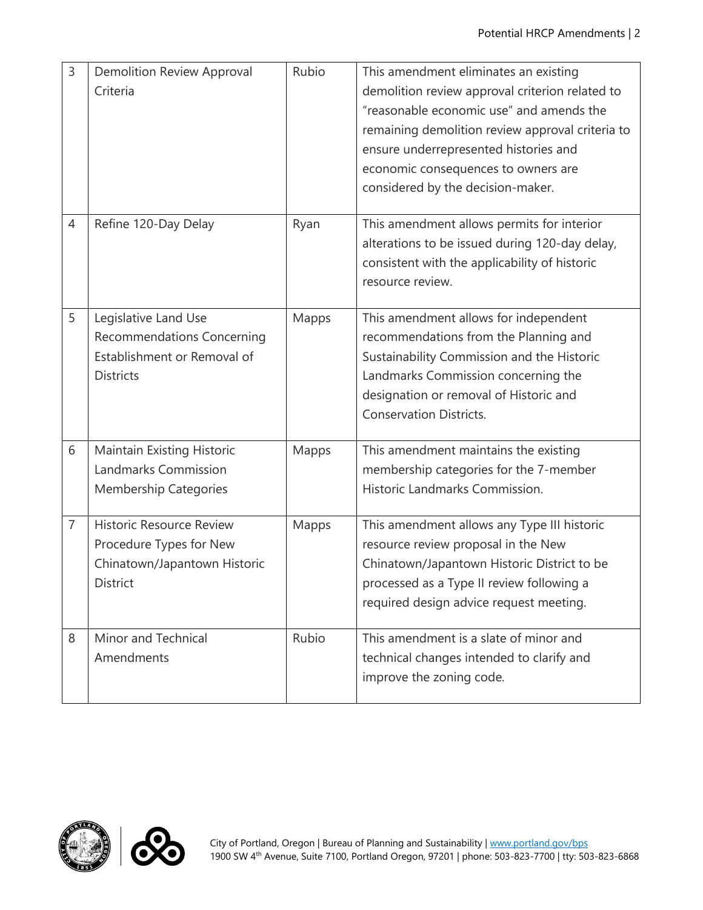| 3              | <b>Demolition Review Approval</b><br>Criteria                                                                 | Rubio | This amendment eliminates an existing<br>demolition review approval criterion related to<br>"reasonable economic use" and amends the<br>remaining demolition review approval criteria to<br>ensure underrepresented histories and<br>economic consequences to owners are<br>considered by the decision-maker. |
|----------------|---------------------------------------------------------------------------------------------------------------|-------|---------------------------------------------------------------------------------------------------------------------------------------------------------------------------------------------------------------------------------------------------------------------------------------------------------------|
| 4              | Refine 120-Day Delay                                                                                          | Ryan  | This amendment allows permits for interior<br>alterations to be issued during 120-day delay,<br>consistent with the applicability of historic<br>resource review.                                                                                                                                             |
| 5              | Legislative Land Use<br><b>Recommendations Concerning</b><br>Establishment or Removal of<br><b>Districts</b>  | Mapps | This amendment allows for independent<br>recommendations from the Planning and<br>Sustainability Commission and the Historic<br>Landmarks Commission concerning the<br>designation or removal of Historic and<br><b>Conservation Districts.</b>                                                               |
| 6              | <b>Maintain Existing Historic</b><br>Landmarks Commission<br><b>Membership Categories</b>                     | Mapps | This amendment maintains the existing<br>membership categories for the 7-member<br>Historic Landmarks Commission.                                                                                                                                                                                             |
| $\overline{7}$ | <b>Historic Resource Review</b><br>Procedure Types for New<br>Chinatown/Japantown Historic<br><b>District</b> | Mapps | This amendment allows any Type III historic<br>resource review proposal in the New<br>Chinatown/Japantown Historic District to be<br>processed as a Type II review following a<br>required design advice request meeting.                                                                                     |
| 8              | Minor and Technical<br>Amendments                                                                             | Rubio | This amendment is a slate of minor and<br>technical changes intended to clarify and<br>improve the zoning code.                                                                                                                                                                                               |



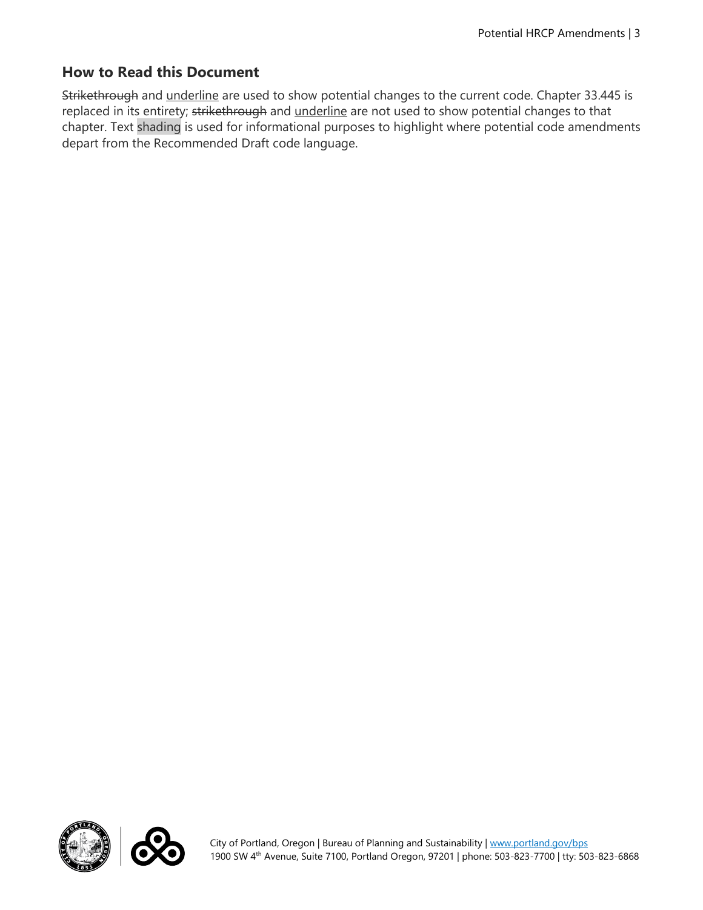## **How to Read this Document**

Strikethrough and underline are used to show potential changes to the current code. Chapter 33.445 is replaced in its entirety; strikethrough and underline are not used to show potential changes to that chapter. Text shading is used for informational purposes to highlight where potential code amendments depart from the Recommended Draft code language.



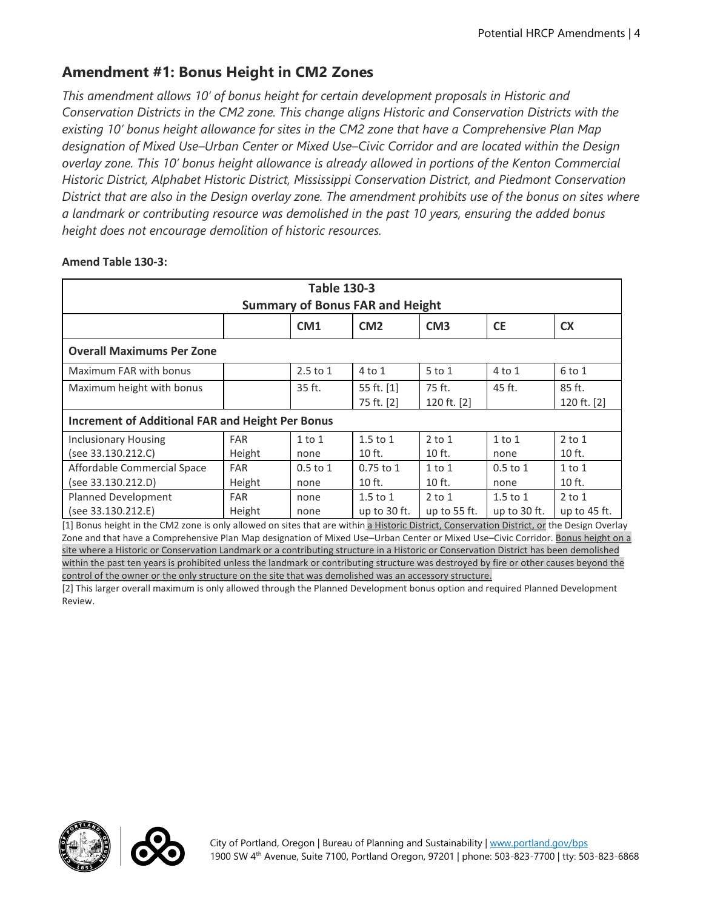# **Amendment #1: Bonus Height in CM2 Zones**

*This amendment allows 10' of bonus height for certain development proposals in Historic and Conservation Districts in the CM2 zone. This change aligns Historic and Conservation Districts with the existing 10' bonus height allowance for sites in the CM2 zone that have a Comprehensive Plan Map designation of Mixed Use–Urban Center or Mixed Use–Civic Corridor and are located within the Design overlay zone. This 10' bonus height allowance is already allowed in portions of the Kenton Commercial Historic District, Alphabet Historic District, Mississippi Conservation District, and Piedmont Conservation District that are also in the Design overlay zone. The amendment prohibits use of the bonus on sites where a landmark or contributing resource was demolished in the past 10 years, ensuring the added bonus height does not encourage demolition of historic resources.* 

| <b>Table 130-3</b><br><b>Summary of Bonus FAR and Height</b> |            |              |                |                 |                |                |
|--------------------------------------------------------------|------------|--------------|----------------|-----------------|----------------|----------------|
|                                                              |            | CM1          | CM2            | CM <sub>3</sub> | <b>CE</b>      | <b>CX</b>      |
| <b>Overall Maximums Per Zone</b>                             |            |              |                |                 |                |                |
| Maximum FAR with bonus                                       |            | $2.5$ to $1$ | $4$ to $1$     | $5$ to $1$      | $4$ to $1$     | 6 to 1         |
| Maximum height with bonus                                    |            | 35 ft.       | 55 ft. [1]     | 75 ft.          | 45 ft.         | 85 ft.         |
|                                                              |            |              | 75 ft. [2]     | 120 ft. [2]     |                | 120 ft. [2]    |
| <b>Increment of Additional FAR and Height Per Bonus</b>      |            |              |                |                 |                |                |
| <b>Inclusionary Housing</b>                                  | <b>FAR</b> | $1$ to $1$   | $1.5$ to $1$   | $2$ to $1$      | $1$ to $1$     | $2$ to $1$     |
| (see 33.130.212.C)                                           | Height     | none         | $10$ ft.       | $10$ ft.        | none           | 10 ft.         |
| Affordable Commercial Space                                  | <b>FAR</b> | $0.5$ to $1$ | $0.75$ to $1$  | $1$ to $1$      | $0.5$ to $1$   | $1$ to $1$     |
| (see 33.130.212.D)                                           | Height     | none         | $10$ ft.       | 10 ft.          | none           | 10 ft.         |
| Planned Development                                          | <b>FAR</b> | none         | $1.5$ to $1$   | $2$ to $1$      | $1.5$ to $1$   | $2$ to $1$     |
| (see 33.130.212.E)                                           | Height     | none         | up to $30$ ft. | up to $55$ ft.  | up to $30$ ft. | up to $45$ ft. |

#### **Amend Table 130-3:**

[1] Bonus height in the CM2 zone is only allowed on sites that are within a Historic District, Conservation District, or the Design Overlay Zone and that have a Comprehensive Plan Map designation of Mixed Use–Urban Center or Mixed Use–Civic Corridor. Bonus height on a site where a Historic or Conservation Landmark or a contributing structure in a Historic or Conservation District has been demolished within the past ten years is prohibited unless the landmark or contributing structure was destroyed by fire or other causes beyond the control of the owner or the only structure on the site that was demolished was an accessory structure.

[2] This larger overall maximum is only allowed through the Planned Development bonus option and required Planned Development Review.



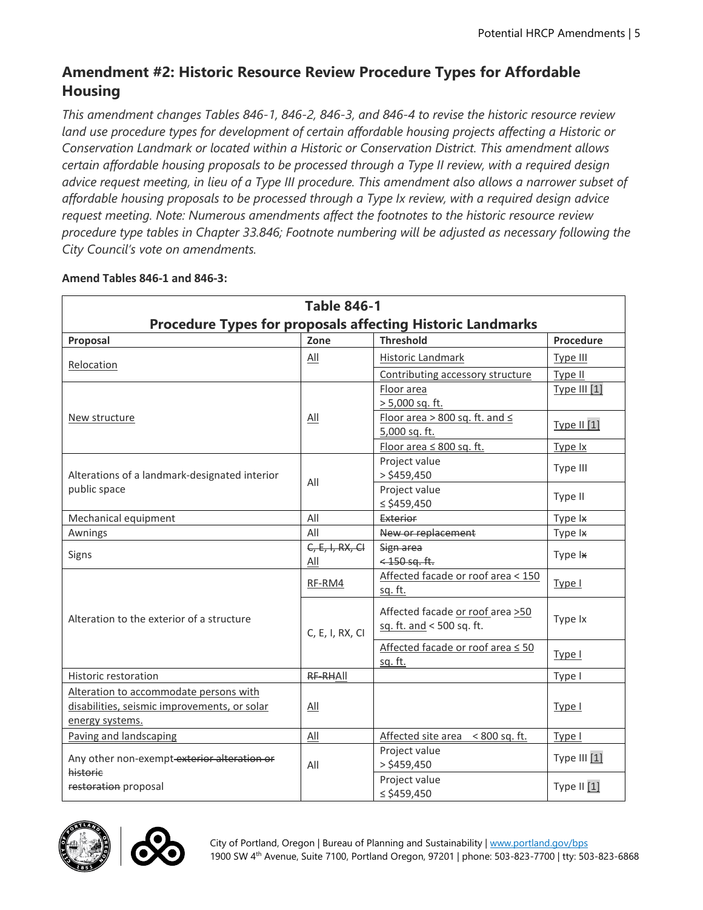# **Amendment #2: Historic Resource Review Procedure Types for Affordable Housing**

*This amendment changes Tables 846-1, 846-2, 846-3, and 846-4 to revise the historic resource review land use procedure types for development of certain affordable housing projects affecting a Historic or Conservation Landmark or located within a Historic or Conservation District. This amendment allows certain affordable housing proposals to be processed through a Type II review, with a required design advice request meeting, in lieu of a Type III procedure. This amendment also allows a narrower subset of affordable housing proposals to be processed through a Type Ix review, with a required design advice request meeting. Note: Numerous amendments affect the footnotes to the historic resource review procedure type tables in Chapter 33.846; Footnote numbering will be adjusted as necessary following the City Council's vote on amendments.*

| <b>Table 846-1</b>                            |                   |                                                                   |                     |  |
|-----------------------------------------------|-------------------|-------------------------------------------------------------------|---------------------|--|
|                                               |                   | <b>Procedure Types for proposals affecting Historic Landmarks</b> |                     |  |
| Proposal                                      | Zone              | <b>Threshold</b>                                                  | Procedure           |  |
| Relocation                                    | All               | Historic Landmark                                                 | Type III            |  |
|                                               |                   | Contributing accessory structure                                  | Type II             |  |
|                                               |                   | Floor area                                                        | <b>Type III [1]</b> |  |
|                                               |                   | $> 5,000$ sq. ft.                                                 |                     |  |
| New structure                                 | All               | Floor area > 800 sq. ft. and $\leq$                               | Type II [1]         |  |
|                                               |                   | 5,000 sq. ft.                                                     |                     |  |
|                                               |                   | Floor area $\leq 800$ sq. ft.                                     | Type Ix             |  |
| Alterations of a landmark-designated interior |                   | Project value<br>$>$ \$459,450                                    | Type III            |  |
| public space                                  | All               | Project value                                                     |                     |  |
|                                               |                   | ≤ \$459,450                                                       | Type II             |  |
| Mechanical equipment                          | All               | Exterior                                                          | Type Ix             |  |
| Awnings                                       | All               | New or replacement                                                | Type Ix             |  |
|                                               | $C, E, I, RX, CI$ | Sign area                                                         |                     |  |
| Signs                                         | All               | $<$ 150 sq. ft.                                                   | Type Ix             |  |
|                                               | RF-RM4            | Affected facade or roof area < 150                                | Type I              |  |
|                                               |                   | sq. ft.                                                           |                     |  |
|                                               |                   | Affected facade or roof area >50                                  |                     |  |
| Alteration to the exterior of a structure     |                   | sq. ft. and < 500 sq. ft.                                         | Type Ix             |  |
|                                               | C, E, I, RX, CI   |                                                                   |                     |  |
|                                               |                   | Affected facade or roof area ≤ 50<br>sq. ft.                      | Type I              |  |
| Historic restoration                          | RF-RHAII          |                                                                   | Type I              |  |
| Alteration to accommodate persons with        |                   |                                                                   |                     |  |
| disabilities, seismic improvements, or solar  | All               |                                                                   | Type I              |  |
| energy systems.                               |                   |                                                                   |                     |  |
| Paving and landscaping                        | All               | Affected site area < 800 sq. ft.                                  | Type I              |  |
|                                               |                   | Project value                                                     |                     |  |
| Any other non-exempt exterior alteration or   | All               | $>$ \$459,450                                                     | Type III [1]        |  |
| historic<br>restoration proposal              |                   | Project value                                                     |                     |  |
|                                               |                   | $\le$ \$459,450                                                   | Type II [1]         |  |

## **Amend Tables 846-1 and 846-3:**



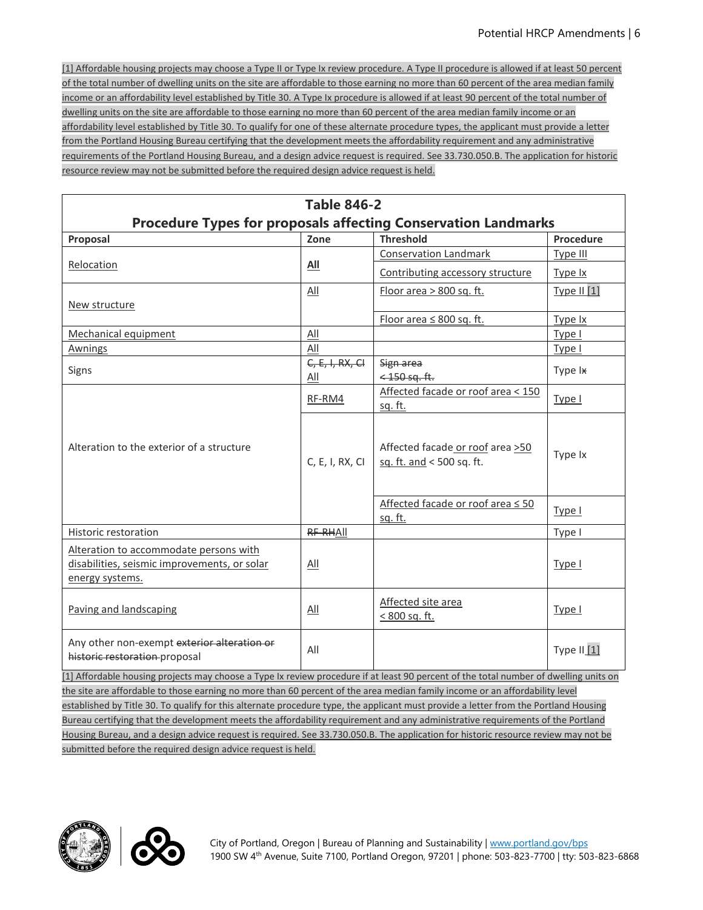[1] Affordable housing projects may choose a Type II or Type Ix review procedure. A Type II procedure is allowed if at least 50 percent of the total number of dwelling units on the site are affordable to those earning no more than 60 percent of the area median family income or an affordability level established by Title 30. A Type Ix procedure is allowed if at least 90 percent of the total number of dwelling units on the site are affordable to those earning no more than 60 percent of the area median family income or an affordability level established by Title 30. To qualify for one of these alternate procedure types, the applicant must provide a letter from the Portland Housing Bureau certifying that the development meets the affordability requirement and any administrative requirements of the Portland Housing Bureau, and a design advice request is required. See 33.730.050.B. The application for historic resource review may not be submitted before the required design advice request is held.

| <b>Table 846-2</b>                                                                                                                    |                   |                                                                       |               |  |
|---------------------------------------------------------------------------------------------------------------------------------------|-------------------|-----------------------------------------------------------------------|---------------|--|
|                                                                                                                                       |                   | <b>Procedure Types for proposals affecting Conservation Landmarks</b> |               |  |
| Proposal                                                                                                                              | Zone              | <b>Threshold</b>                                                      | Procedure     |  |
|                                                                                                                                       |                   | <b>Conservation Landmark</b>                                          | Type III      |  |
| Relocation                                                                                                                            | <b>All</b>        | Contributing accessory structure                                      | Type Ix       |  |
|                                                                                                                                       | All               | Floor area > 800 sq. ft.                                              | Type II $[1]$ |  |
| New structure                                                                                                                         |                   |                                                                       |               |  |
|                                                                                                                                       |                   | Floor area $\leq 800$ sq. ft.                                         | Type Ix       |  |
| Mechanical equipment                                                                                                                  | All               |                                                                       | Type I        |  |
| <u>Awnings</u>                                                                                                                        | All               |                                                                       | Type I        |  |
| Signs                                                                                                                                 | $C, E, I, RX, CI$ | Sign area                                                             | Type Ix       |  |
|                                                                                                                                       | All               | $<$ 450 sq. ft.                                                       |               |  |
|                                                                                                                                       | RF-RM4            | Affected facade or roof area < 150<br>sq. ft.                         | Type I        |  |
| Alteration to the exterior of a structure                                                                                             | C, E, I, RX, CI   | Affected facade or roof area >50<br>sq. ft. and < 500 sq. ft.         | Type Ix       |  |
|                                                                                                                                       |                   | Affected facade or roof area ≤ 50<br>sq. ft.                          | Type I        |  |
| Historic restoration                                                                                                                  | RF-RHAII          |                                                                       | Type I        |  |
| Alteration to accommodate persons with<br>disabilities, seismic improvements, or solar<br>energy systems.                             | All               |                                                                       | Type I        |  |
| Paving and landscaping                                                                                                                | All               | Affected site area<br>< 800 sq. ft.                                   | Type I        |  |
| Any other non-exempt exterior alteration or<br>historic restoration proposal                                                          | All               |                                                                       | Type II [1]   |  |
| [1] Affordable housing projects may choose a Type Ix review procedure if at least 90 percent of the total number of dwelling units on |                   |                                                                       |               |  |
| the site are affordable to those earning no more than 60 percent of the area median family income or an affordability level           |                   |                                                                       |               |  |
| established by Title 30. To qualify for this alternate procedure type, the applicant must provide a letter from the Portland Housing  |                   |                                                                       |               |  |
| Bureau certifying that the development meets the affordability requirement and any administrative requirements of the Portland        |                   |                                                                       |               |  |
| Housing Bureau, and a design advice request is required. See 33.730.050.B. The application for historic resource review may not be    |                   |                                                                       |               |  |
| submitted before the required design advice request is held.                                                                          |                   |                                                                       |               |  |



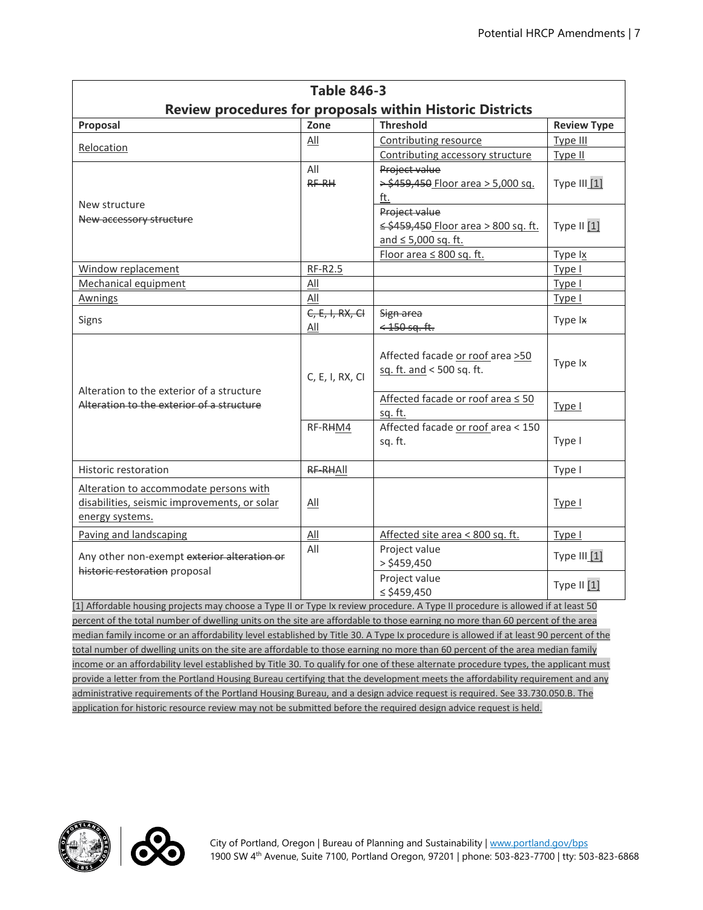|                                                                                                                                 | <b>Table 846-3</b> |                                                                  |              |  |  |  |
|---------------------------------------------------------------------------------------------------------------------------------|--------------------|------------------------------------------------------------------|--------------|--|--|--|
|                                                                                                                                 |                    | <b>Review procedures for proposals within Historic Districts</b> |              |  |  |  |
| <b>Threshold</b><br>Proposal<br>Zone<br><b>Review Type</b>                                                                      |                    |                                                                  |              |  |  |  |
|                                                                                                                                 | All                | Contributing resource                                            | Type III     |  |  |  |
| Relocation                                                                                                                      |                    | Contributing accessory structure                                 | Type II      |  |  |  |
|                                                                                                                                 | All                | Project value                                                    |              |  |  |  |
|                                                                                                                                 | RF-RH              | > \$459,450 Floor area > 5,000 sq.                               | Type III [1] |  |  |  |
| New structure                                                                                                                   |                    | ft.                                                              |              |  |  |  |
| New accessory structure                                                                                                         |                    | Project value                                                    |              |  |  |  |
|                                                                                                                                 |                    | ≤ \$459,450 Floor area > 800 sq. ft.                             | Type II [1]  |  |  |  |
|                                                                                                                                 |                    | and $\leq 5,000$ sq. ft.                                         |              |  |  |  |
|                                                                                                                                 |                    | Floor area $\leq 800$ sq. ft.                                    | Type Ix      |  |  |  |
| Window replacement                                                                                                              | <b>RF-R2.5</b>     |                                                                  | Type I       |  |  |  |
| Mechanical equipment                                                                                                            | All                |                                                                  | Type I       |  |  |  |
| <b>Awnings</b>                                                                                                                  | All                |                                                                  | Type I       |  |  |  |
| Signs                                                                                                                           | $C, E, I, RX, CH$  | Sign area                                                        | Type Ix      |  |  |  |
|                                                                                                                                 | <u>All</u>         | $<$ 150 sq. ft.                                                  |              |  |  |  |
|                                                                                                                                 | C, E, I, RX, CI    | Affected facade or roof area >50<br>sq. ft. and < 500 sq. ft.    | Type Ix      |  |  |  |
| Alteration to the exterior of a structure<br>Alteration to the exterior of a structure                                          |                    | Affected facade or roof area ≤ 50<br>sq. ft.                     | Type I       |  |  |  |
|                                                                                                                                 | RF-RHM4            | Affected facade or roof area < 150<br>sq. ft.                    | Type I       |  |  |  |
| Historic restoration                                                                                                            | RF-RHAII           |                                                                  | Type I       |  |  |  |
| Alteration to accommodate persons with<br>disabilities, seismic improvements, or solar<br>energy systems.                       | All                |                                                                  | Type I       |  |  |  |
| Paving and landscaping                                                                                                          | All                | Affected site area < 800 sq. ft.                                 | Type I       |  |  |  |
| Any other non-exempt exterior alteration or<br>historic restoration proposal                                                    | All                | Project value<br>$>$ \$459,450                                   | Type III [1] |  |  |  |
|                                                                                                                                 |                    | Project value<br>$\le$ \$459,450                                 | Type II [1]  |  |  |  |
| [1] Affordable housing projects may choose a Type II or Type Ix review procedure. A Type II procedure is allowed if at least 50 |                    |                                                                  |              |  |  |  |
| percent of the total number of dwelling units on the site are affordable to those earning no more than 60 percent of the area   |                    |                                                                  |              |  |  |  |

percent of the total number of dwelling units on the site are affordable to those earning no more than 60 percent of the area median family income or an affordability level established by Title 30. A Type Ix procedure is allowed if at least 90 percent of the total number of dwelling units on the site are affordable to those earning no more than 60 percent of the area median family income or an affordability level established by Title 30. To qualify for one of these alternate procedure types, the applicant must provide a letter from the Portland Housing Bureau certifying that the development meets the affordability requirement and any administrative requirements of the Portland Housing Bureau, and a design advice request is required. See 33.730.050.B. The application for historic resource review may not be submitted before the required design advice request is held.



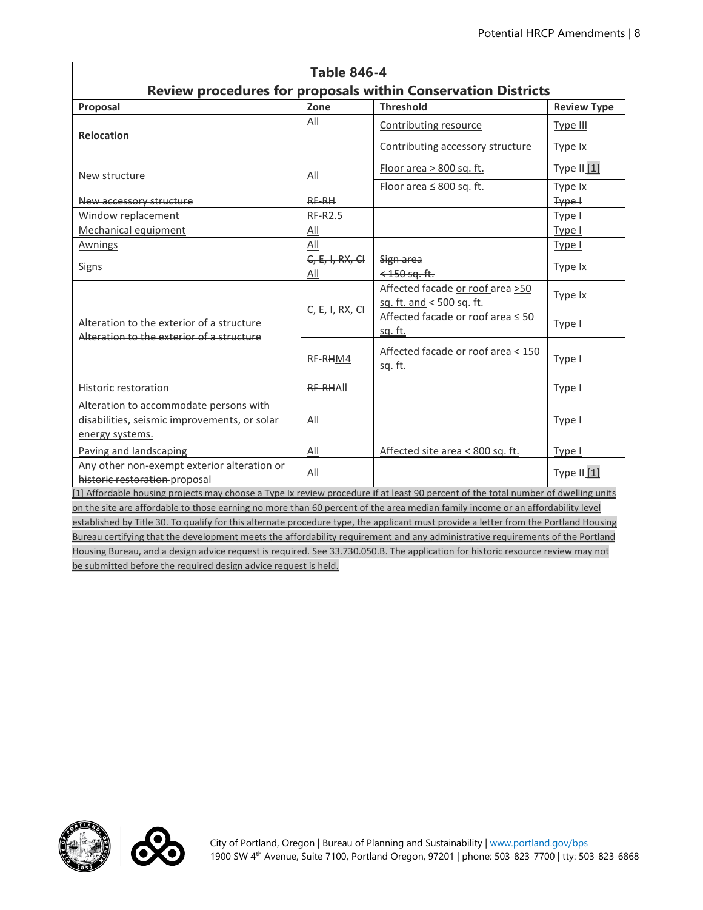| <b>Table 846-4</b>                                                                                                                   |                               |                                                                      |                    |  |
|--------------------------------------------------------------------------------------------------------------------------------------|-------------------------------|----------------------------------------------------------------------|--------------------|--|
|                                                                                                                                      |                               | <b>Review procedures for proposals within Conservation Districts</b> |                    |  |
| Proposal                                                                                                                             | Zone                          | <b>Threshold</b>                                                     | <b>Review Type</b> |  |
| Relocation                                                                                                                           | All                           | Contributing resource                                                | Type III           |  |
|                                                                                                                                      |                               | Contributing accessory structure                                     | Type Ix            |  |
| New structure                                                                                                                        | All                           | Floor area > 800 sq. ft.                                             | Type II [1]        |  |
|                                                                                                                                      |                               | Floor area $\leq 800$ sq. ft.                                        | Type Ix            |  |
| New accessory structure                                                                                                              | $RF-RH$                       |                                                                      | Type +             |  |
| Window replacement                                                                                                                   | RF-R2.5                       |                                                                      | Type I             |  |
| Mechanical equipment                                                                                                                 | All                           |                                                                      | Type I             |  |
| Awnings                                                                                                                              | All                           |                                                                      | Type I             |  |
| Signs                                                                                                                                | $C, E, I, RX, CI$             | Sign area                                                            | Type Ix            |  |
|                                                                                                                                      | <u>All</u><br>C, E, I, RX, CI | $<$ 150 sq. ft.                                                      |                    |  |
|                                                                                                                                      |                               | Affected facade or roof area >50                                     | Type Ix            |  |
|                                                                                                                                      |                               | sq. ft. and < 500 sq. ft.                                            |                    |  |
| Alteration to the exterior of a structure                                                                                            |                               | Affected facade or roof area ≤ 50                                    | Type I             |  |
| Alteration to the exterior of a structure                                                                                            |                               | sq. ft.                                                              |                    |  |
|                                                                                                                                      | RF-RHM4                       | Affected facade or roof area < 150<br>sq. ft.                        | Type I             |  |
| Historic restoration                                                                                                                 | RF-RHAII                      |                                                                      | Type I             |  |
| Alteration to accommodate persons with                                                                                               |                               |                                                                      |                    |  |
| disabilities, seismic improvements, or solar                                                                                         | All                           |                                                                      | Type I             |  |
| energy systems.                                                                                                                      |                               |                                                                      |                    |  |
| Paving and landscaping                                                                                                               | All                           | Affected site area < 800 sq. ft.                                     | Type I             |  |
| Any other non-exempt exterior alteration or                                                                                          | All                           |                                                                      | Type II $[1]$      |  |
| historic restoration proposal                                                                                                        |                               |                                                                      |                    |  |
| [1] Affordable housing projects may choose a Type Ix review procedure if at least 90 percent of the total number of dwelling units   |                               |                                                                      |                    |  |
| on the site are affordable to those earning no more than 60 percent of the area median family income or an affordability level       |                               |                                                                      |                    |  |
| established by Title 30. To qualify for this alternate procedure type, the applicant must provide a letter from the Portland Housing |                               |                                                                      |                    |  |
| Bureau certifying that the development meets the affordability requirement and any administrative requirements of the Portland       |                               |                                                                      |                    |  |
| Housing Bureau, and a design advice request is required. See 33.730.050.B. The application for historic resource review may not      |                               |                                                                      |                    |  |
| be submitted before the required design advice request is held.                                                                      |                               |                                                                      |                    |  |



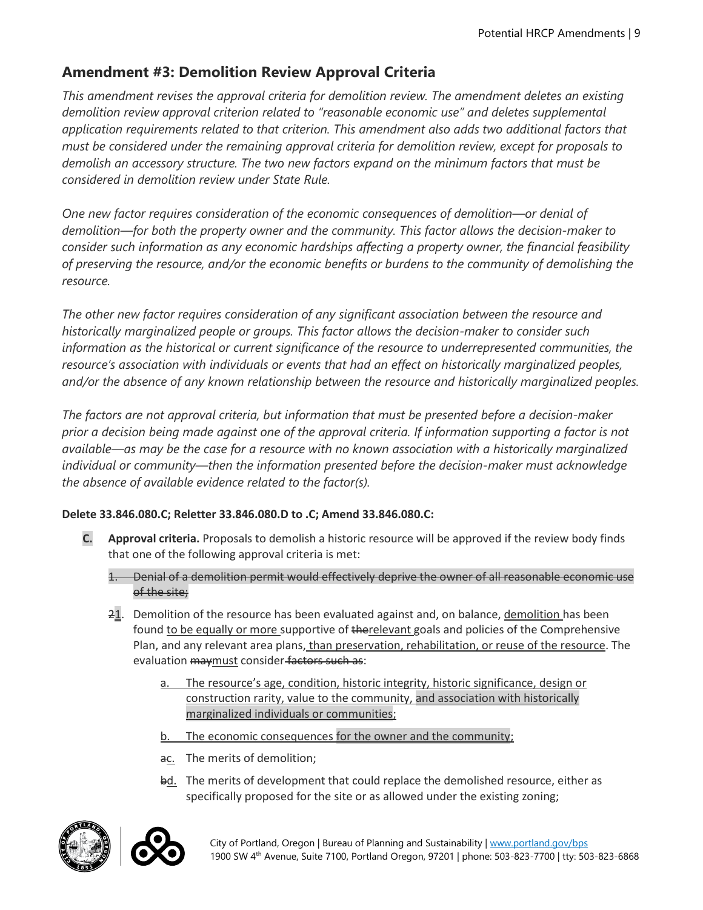## **Amendment #3: Demolition Review Approval Criteria**

*This amendment revises the approval criteria for demolition review. The amendment deletes an existing demolition review approval criterion related to "reasonable economic use" and deletes supplemental application requirements related to that criterion. This amendment also adds two additional factors that must be considered under the remaining approval criteria for demolition review, except for proposals to demolish an accessory structure. The two new factors expand on the minimum factors that must be considered in demolition review under State Rule.* 

*One new factor requires consideration of the economic consequences of demolition—or denial of demolition—for both the property owner and the community. This factor allows the decision-maker to consider such information as any economic hardships affecting a property owner, the financial feasibility of preserving the resource, and/or the economic benefits or burdens to the community of demolishing the resource.* 

*The other new factor requires consideration of any significant association between the resource and historically marginalized people or groups. This factor allows the decision-maker to consider such information as the historical or current significance of the resource to underrepresented communities, the resource's association with individuals or events that had an effect on historically marginalized peoples, and/or the absence of any known relationship between the resource and historically marginalized peoples.* 

*The factors are not approval criteria, but information that must be presented before a decision-maker prior a decision being made against one of the approval criteria. If information supporting a factor is not available—as may be the case for a resource with no known association with a historically marginalized individual or community—then the information presented before the decision-maker must acknowledge the absence of available evidence related to the factor(s).* 

## **Delete 33.846.080.C; Reletter 33.846.080.D to .C; Amend 33.846.080.C:**

- **C. Approval criteria.** Proposals to demolish a historic resource will be approved if the review body finds that one of the following approval criteria is met:
	- 1. Denial of a demolition permit would effectively deprive the owner of all reasonable economic use of the site;
	- 21. Demolition of the resource has been evaluated against and, on balance, demolition has been found to be equally or more supportive of therelevant goals and policies of the Comprehensive Plan, and any relevant area plans, than preservation, rehabilitation, or reuse of the resource. The evaluation maymust consider factors such as:
		- a. The resource's age, condition, historic integrity, historic significance, design or construction rarity, value to the community, and association with historically marginalized individuals or communities;
		- b. The economic consequences for the owner and the community;
		- ac. The merits of demolition;
		- bd. The merits of development that could replace the demolished resource, either as specifically proposed for the site or as allowed under the existing zoning;



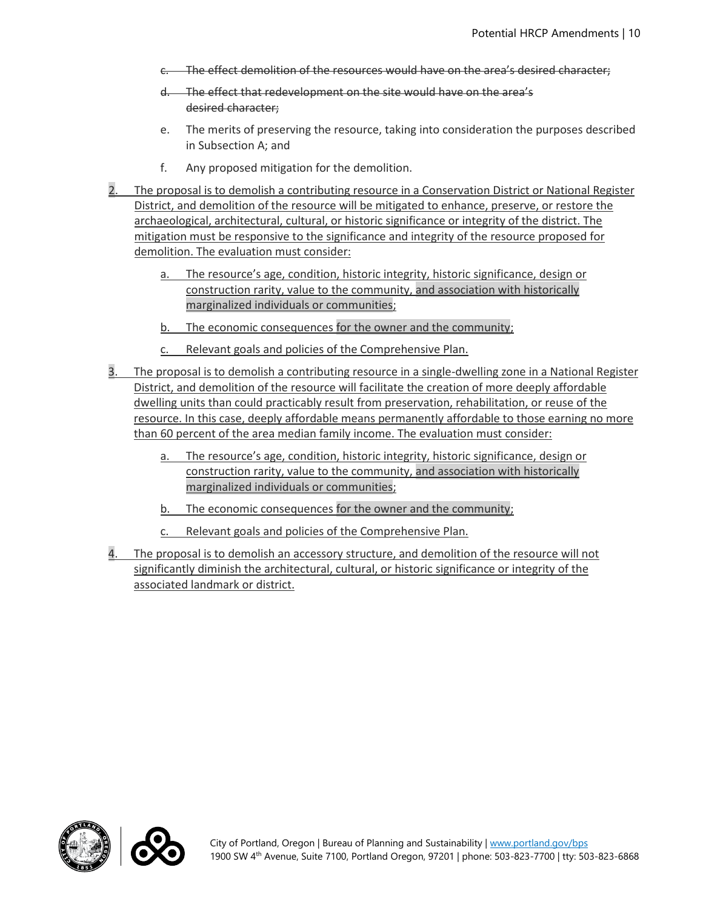- c. The effect demolition of the resources would have on the area's desired character;
- d. The effect that redevelopment on the site would have on the area's desired character;
- e. The merits of preserving the resource, taking into consideration the purposes described in Subsection A; and
- f. Any proposed mitigation for the demolition.
- 2. The proposal is to demolish a contributing resource in a Conservation District or National Register District, and demolition of the resource will be mitigated to enhance, preserve, or restore the archaeological, architectural, cultural, or historic significance or integrity of the district. The mitigation must be responsive to the significance and integrity of the resource proposed for demolition. The evaluation must consider:
	- a. The resource's age, condition, historic integrity, historic significance, design or construction rarity, value to the community, and association with historically marginalized individuals or communities;
	- b. The economic consequences for the owner and the community;
	- c. Relevant goals and policies of the Comprehensive Plan.
- 3. The proposal is to demolish a contributing resource in a single-dwelling zone in a National Register District, and demolition of the resource will facilitate the creation of more deeply affordable dwelling units than could practicably result from preservation, rehabilitation, or reuse of the resource. In this case, deeply affordable means permanently affordable to those earning no more than 60 percent of the area median family income. The evaluation must consider:
	- a. The resource's age, condition, historic integrity, historic significance, design or construction rarity, value to the community, and association with historically marginalized individuals or communities;
	- b. The economic consequences for the owner and the community;
	- c. Relevant goals and policies of the Comprehensive Plan.
- 4. The proposal is to demolish an accessory structure, and demolition of the resource will not significantly diminish the architectural, cultural, or historic significance or integrity of the associated landmark or district.



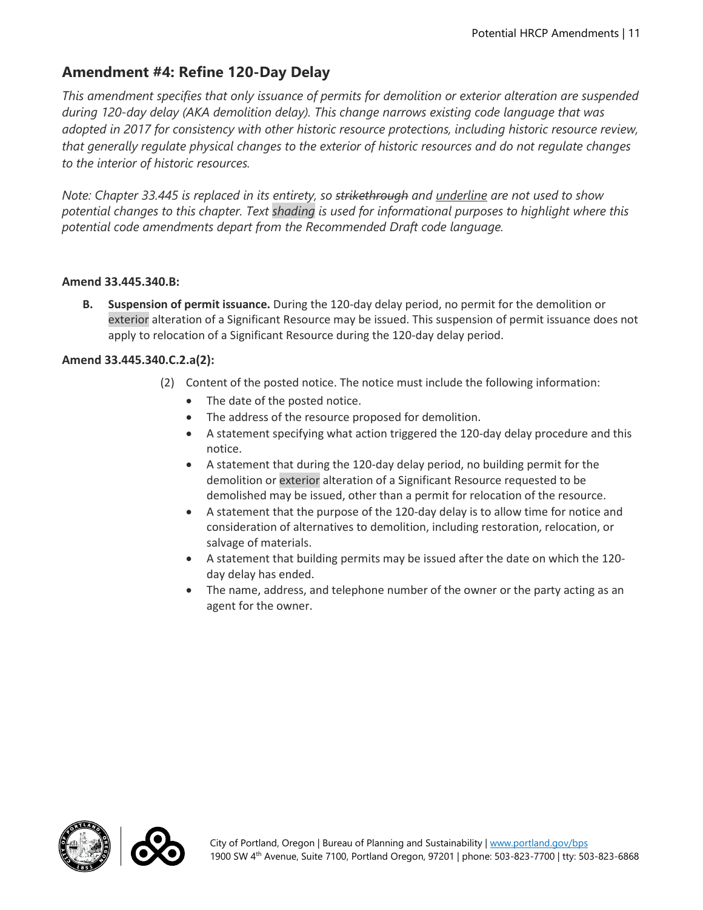# **Amendment #4: Refine 120-Day Delay**

*This amendment specifies that only issuance of permits for demolition or exterior alteration are suspended during 120-day delay (AKA demolition delay). This change narrows existing code language that was adopted in 2017 for consistency with other historic resource protections, including historic resource review, that generally regulate physical changes to the exterior of historic resources and do not regulate changes to the interior of historic resources.* 

*Note: Chapter 33.445 is replaced in its entirety, so strikethrough and underline are not used to show potential changes to this chapter. Text shading is used for informational purposes to highlight where this potential code amendments depart from the Recommended Draft code language.*

#### **Amend 33.445.340.B:**

**B. Suspension of permit issuance.** During the 120-day delay period, no permit for the demolition or exterior alteration of a Significant Resource may be issued. This suspension of permit issuance does not apply to relocation of a Significant Resource during the 120-day delay period.

## **Amend 33.445.340.C.2.a(2):**

- (2) Content of the posted notice. The notice must include the following information:
	- The date of the posted notice.
	- The address of the resource proposed for demolition.
	- A statement specifying what action triggered the 120-day delay procedure and this notice.
	- A statement that during the 120-day delay period, no building permit for the demolition or exterior alteration of a Significant Resource requested to be demolished may be issued, other than a permit for relocation of the resource.
	- A statement that the purpose of the 120-day delay is to allow time for notice and consideration of alternatives to demolition, including restoration, relocation, or salvage of materials.
	- A statement that building permits may be issued after the date on which the 120 day delay has ended.
	- The name, address, and telephone number of the owner or the party acting as an agent for the owner.



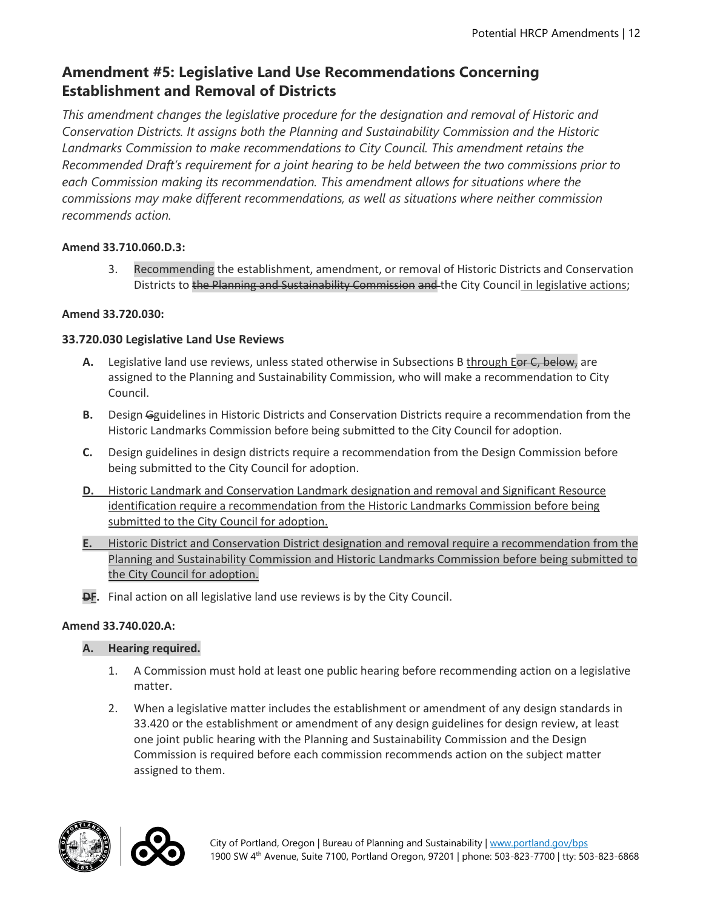# **Amendment #5: Legislative Land Use Recommendations Concerning Establishment and Removal of Districts**

*This amendment changes the legislative procedure for the designation and removal of Historic and Conservation Districts. It assigns both the Planning and Sustainability Commission and the Historic Landmarks Commission to make recommendations to City Council. This amendment retains the Recommended Draft's requirement for a joint hearing to be held between the two commissions prior to each Commission making its recommendation. This amendment allows for situations where the commissions may make different recommendations, as well as situations where neither commission recommends action.* 

#### **Amend 33.710.060.D.3:**

3. Recommending the establishment, amendment, or removal of Historic Districts and Conservation Districts to the Planning and Sustainability Commission and the City Council in legislative actions;

#### **Amend 33.720.030:**

## **33.720.030 Legislative Land Use Reviews**

- A. Legislative land use reviews, unless stated otherwise in Subsections B through Eor C, below, are assigned to the Planning and Sustainability Commission, who will make a recommendation to City Council.
- **B.** Design Gguidelines in Historic Districts and Conservation Districts require a recommendation from the Historic Landmarks Commission before being submitted to the City Council for adoption.
- **C.** Design guidelines in design districts require a recommendation from the Design Commission before being submitted to the City Council for adoption.
- **D.** Historic Landmark and Conservation Landmark designation and removal and Significant Resource identification require a recommendation from the Historic Landmarks Commission before being submitted to the City Council for adoption.
- **E.** Historic District and Conservation District designation and removal require a recommendation from the Planning and Sustainability Commission and Historic Landmarks Commission before being submitted to the City Council for adoption.
- **DF.** Final action on all legislative land use reviews is by the City Council.

#### **Amend 33.740.020.A:**

## **A. Hearing required.**

- 1. A Commission must hold at least one public hearing before recommending action on a legislative matter.
- 2. When a legislative matter includes the establishment or amendment of any design standards in 33.420 or the establishment or amendment of any design guidelines for design review, at least one joint public hearing with the Planning and Sustainability Commission and the Design Commission is required before each commission recommends action on the subject matter assigned to them.



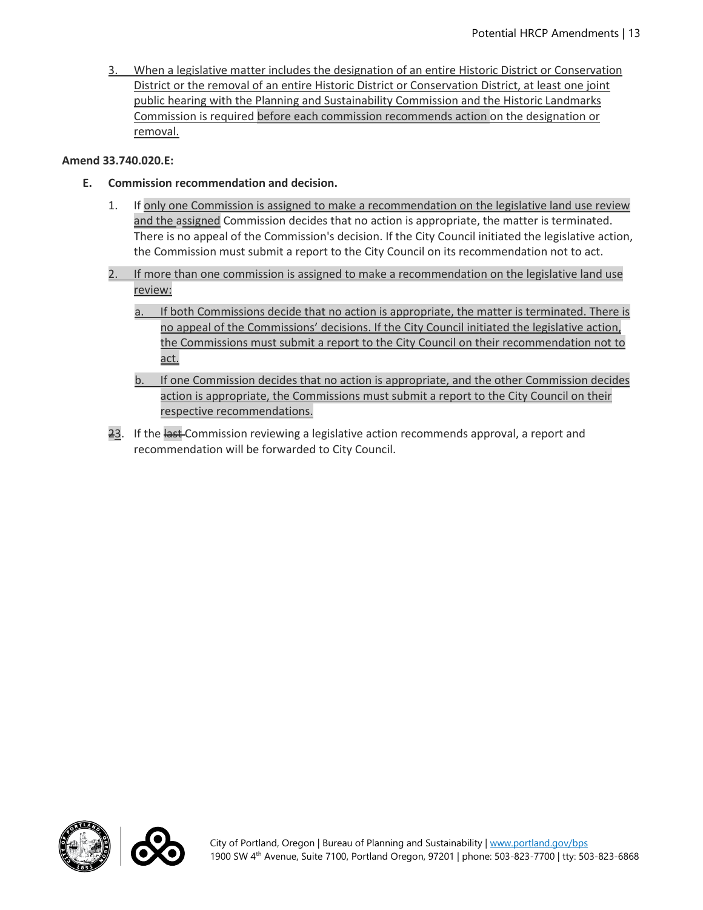3. When a legislative matter includes the designation of an entire Historic District or Conservation District or the removal of an entire Historic District or Conservation District, at least one joint public hearing with the Planning and Sustainability Commission and the Historic Landmarks Commission is required before each commission recommends action on the designation or removal.

#### **Amend 33.740.020.E:**

- **E. Commission recommendation and decision.**
	- 1. If only one Commission is assigned to make a recommendation on the legislative land use review and the assigned Commission decides that no action is appropriate, the matter is terminated. There is no appeal of the Commission's decision. If the City Council initiated the legislative action, the Commission must submit a report to the City Council on its recommendation not to act.
	- 2. If more than one commission is assigned to make a recommendation on the legislative land use review:
		- a. If both Commissions decide that no action is appropriate, the matter is terminated. There is no appeal of the Commissions' decisions. If the City Council initiated the legislative action, the Commissions must submit a report to the City Council on their recommendation not to act.
		- b. If one Commission decides that no action is appropriate, and the other Commission decides action is appropriate, the Commissions must submit a report to the City Council on their respective recommendations.
	- 23. If the last Commission reviewing a legislative action recommends approval, a report and recommendation will be forwarded to City Council.



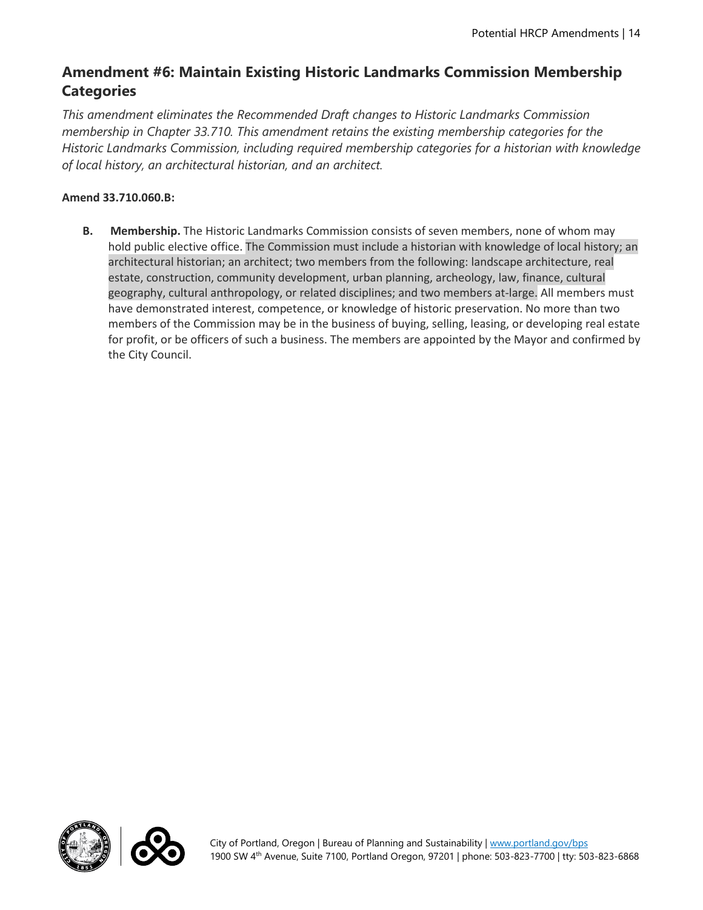# **Amendment #6: Maintain Existing Historic Landmarks Commission Membership Categories**

*This amendment eliminates the Recommended Draft changes to Historic Landmarks Commission membership in Chapter 33.710. This amendment retains the existing membership categories for the Historic Landmarks Commission, including required membership categories for a historian with knowledge of local history, an architectural historian, and an architect.* 

## **Amend 33.710.060.B:**

**B. Membership.** The Historic Landmarks Commission consists of seven members, none of whom may hold public elective office. The Commission must include a historian with knowledge of local history; an architectural historian; an architect; two members from the following: landscape architecture, real estate, construction, community development, urban planning, archeology, law, finance, cultural geography, cultural anthropology, or related disciplines; and two members at-large. All members must have demonstrated interest, competence, or knowledge of historic preservation. No more than two members of the Commission may be in the business of buying, selling, leasing, or developing real estate for profit, or be officers of such a business. The members are appointed by the Mayor and confirmed by the City Council.



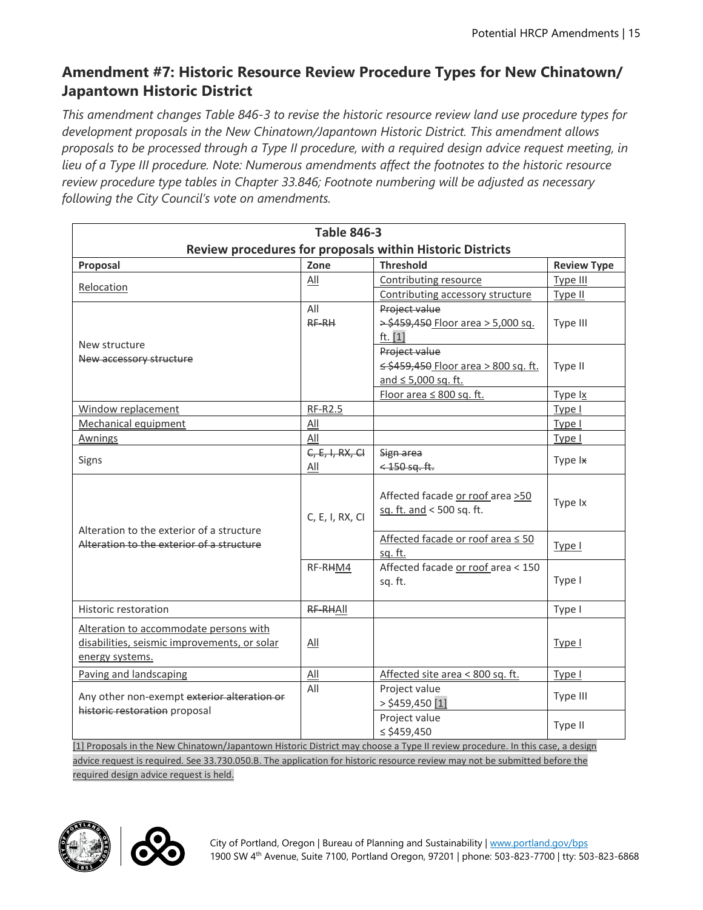# **Amendment #7: Historic Resource Review Procedure Types for New Chinatown/ Japantown Historic District**

*This amendment changes Table 846-3 to revise the historic resource review land use procedure types for development proposals in the New Chinatown/Japantown Historic District. This amendment allows proposals to be processed through a Type II procedure, with a required design advice request meeting, in lieu of a Type III procedure. Note: Numerous amendments affect the footnotes to the historic resource review procedure type tables in Chapter 33.846; Footnote numbering will be adjusted as necessary following the City Council's vote on amendments.*

| <b>Table 846-3</b>                                                                                                           |                   |                                                               |                    |  |
|------------------------------------------------------------------------------------------------------------------------------|-------------------|---------------------------------------------------------------|--------------------|--|
|                                                                                                                              |                   | Review procedures for proposals within Historic Districts     |                    |  |
| Proposal                                                                                                                     | Zone              | <b>Threshold</b>                                              | <b>Review Type</b> |  |
|                                                                                                                              | All               | Contributing resource                                         | Type III           |  |
| Relocation                                                                                                                   |                   | Contributing accessory structure                              | Type II            |  |
|                                                                                                                              | All               | Project value                                                 |                    |  |
|                                                                                                                              | RF-RH             | > \$459,450 Floor area > 5,000 sq.                            | Type III           |  |
| New structure                                                                                                                |                   | ft. $[1]$                                                     |                    |  |
| New accessory structure                                                                                                      |                   | Project value                                                 |                    |  |
|                                                                                                                              |                   | ≤ \$459,450 Floor area > 800 sq. ft.                          | Type II            |  |
|                                                                                                                              |                   | and $\leq 5,000$ sq. ft.                                      |                    |  |
|                                                                                                                              |                   | Floor area $\leq 800$ sq. ft.                                 | Type Ix            |  |
| Window replacement                                                                                                           | <b>RF-R2.5</b>    |                                                               | Type I             |  |
| Mechanical equipment                                                                                                         | All               |                                                               | Type I             |  |
| <b>Awnings</b>                                                                                                               | All               |                                                               | Type I             |  |
| Signs                                                                                                                        | $C, E, I, RX, CI$ | Sign area                                                     | Type Ix            |  |
|                                                                                                                              | All               | $<$ 450 sq. ft.                                               |                    |  |
|                                                                                                                              | C, E, I, RX, CI   | Affected facade or roof area >50<br>sq. ft. and < 500 sq. ft. | Type Ix            |  |
| Alteration to the exterior of a structure<br>Alteration to the exterior of a structure                                       |                   | Affected facade or roof area ≤ 50<br>sq. ft.                  | Type I             |  |
|                                                                                                                              | RF-RHM4           | Affected facade or roof area < 150<br>sq. ft.                 | Type I             |  |
| Historic restoration                                                                                                         | RF-RHAII          |                                                               | Type I             |  |
| Alteration to accommodate persons with<br>disabilities, seismic improvements, or solar<br>energy systems.                    | All               |                                                               | Type I             |  |
| Paving and landscaping                                                                                                       | $\Delta$ ll       | Affected site area < 800 sq. ft.                              | Type I             |  |
| Any other non-exempt exterior alteration or<br>historic restoration proposal                                                 | All               | Project value<br>$>$ \$459,450 $[1]$                          | Type III           |  |
|                                                                                                                              |                   | Project value<br>$\le$ \$459,450                              | Type II            |  |
| [1] Proposals in the New Chinatown/Japantown Historic District may choose a Type II review procedure. In this case, a design |                   |                                                               |                    |  |
| advice request is required. See 33.730.050.B. The application for historic resource review may not be submitted before the   |                   |                                                               |                    |  |

required design advice request is held.



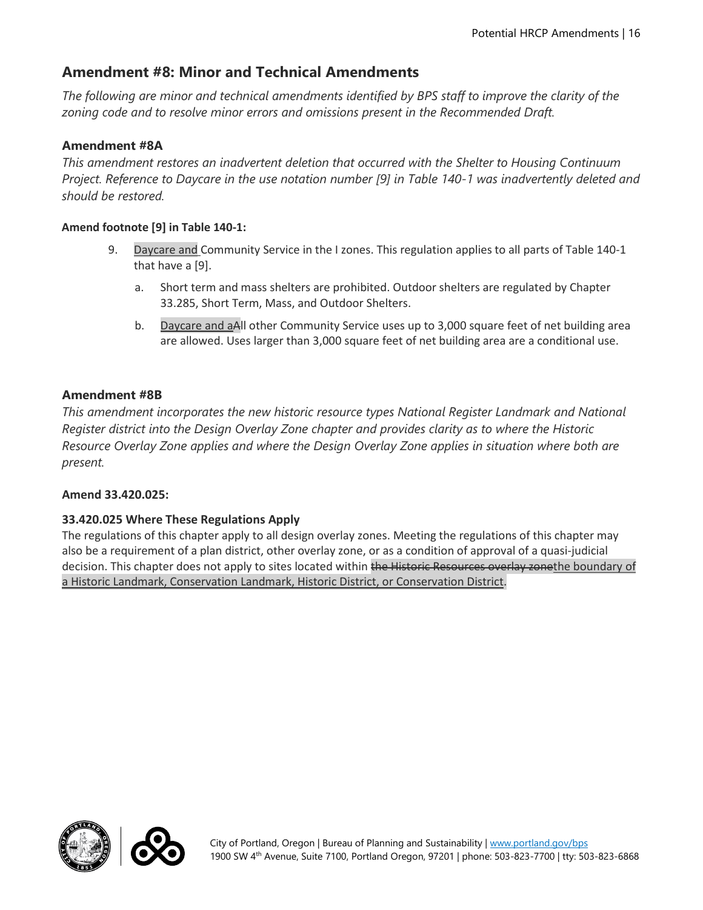# **Amendment #8: Minor and Technical Amendments**

*The following are minor and technical amendments identified by BPS staff to improve the clarity of the zoning code and to resolve minor errors and omissions present in the Recommended Draft.* 

## **Amendment #8A**

*This amendment restores an inadvertent deletion that occurred with the Shelter to Housing Continuum Project. Reference to Daycare in the use notation number [9] in Table 140-1 was inadvertently deleted and should be restored.* 

## **Amend footnote [9] in Table 140-1:**

- 9. Daycare and Community Service in the I zones. This regulation applies to all parts of Table 140-1 that have a [9].
	- a. Short term and mass shelters are prohibited. Outdoor shelters are regulated by Chapter 33.285, Short Term, Mass, and Outdoor Shelters.
	- b. Daycare and aAll other Community Service uses up to 3,000 square feet of net building area are allowed. Uses larger than 3,000 square feet of net building area are a conditional use.

## **Amendment #8B**

*This amendment incorporates the new historic resource types National Register Landmark and National Register district into the Design Overlay Zone chapter and provides clarity as to where the Historic Resource Overlay Zone applies and where the Design Overlay Zone applies in situation where both are present.* 

## **Amend 33.420.025:**

## **33.420.025 Where These Regulations Apply**

The regulations of this chapter apply to all design overlay zones. Meeting the regulations of this chapter may also be a requirement of a plan district, other overlay zone, or as a condition of approval of a quasi-judicial decision. This chapter does not apply to sites located within the Historic Resources overlay zonethe boundary of a Historic Landmark, Conservation Landmark, Historic District, or Conservation District.



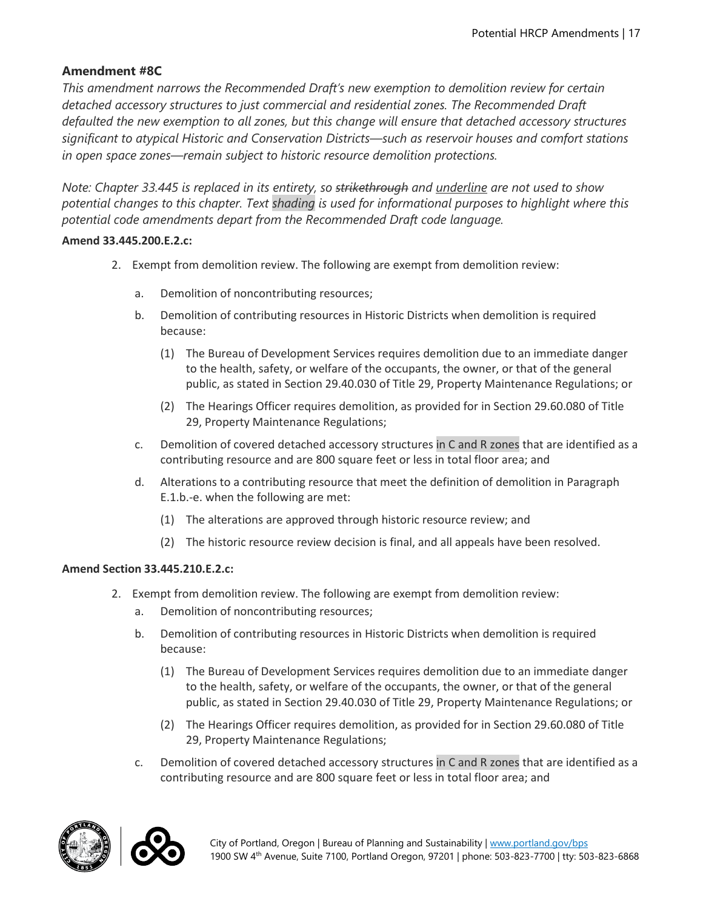## **Amendment #8C**

*This amendment narrows the Recommended Draft's new exemption to demolition review for certain detached accessory structures to just commercial and residential zones. The Recommended Draft defaulted the new exemption to all zones, but this change will ensure that detached accessory structures significant to atypical Historic and Conservation Districts—such as reservoir houses and comfort stations in open space zones—remain subject to historic resource demolition protections.* 

*Note: Chapter 33.445 is replaced in its entirety, so strikethrough and underline are not used to show potential changes to this chapter. Text shading is used for informational purposes to highlight where this potential code amendments depart from the Recommended Draft code language.*

#### **Amend 33.445.200.E.2.c:**

- 2. Exempt from demolition review. The following are exempt from demolition review:
	- a. Demolition of noncontributing resources;
	- b. Demolition of contributing resources in Historic Districts when demolition is required because:
		- (1) The Bureau of Development Services requires demolition due to an immediate danger to the health, safety, or welfare of the occupants, the owner, or that of the general public, as stated in Section 29.40.030 of Title 29, Property Maintenance Regulations; or
		- (2) The Hearings Officer requires demolition, as provided for in Section 29.60.080 of Title 29, Property Maintenance Regulations;
	- c. Demolition of covered detached accessory structures in C and R zones that are identified as a contributing resource and are 800 square feet or less in total floor area; and
	- d. Alterations to a contributing resource that meet the definition of demolition in Paragraph E.1.b.-e. when the following are met:
		- (1) The alterations are approved through historic resource review; and
		- (2) The historic resource review decision is final, and all appeals have been resolved.

#### **Amend Section 33.445.210.E.2.c:**

- 2. Exempt from demolition review. The following are exempt from demolition review:
	- a. Demolition of noncontributing resources;
	- b. Demolition of contributing resources in Historic Districts when demolition is required because:
		- (1) The Bureau of Development Services requires demolition due to an immediate danger to the health, safety, or welfare of the occupants, the owner, or that of the general public, as stated in Section 29.40.030 of Title 29, Property Maintenance Regulations; or
		- (2) The Hearings Officer requires demolition, as provided for in Section 29.60.080 of Title 29, Property Maintenance Regulations;
	- c. Demolition of covered detached accessory structures in C and R zones that are identified as a contributing resource and are 800 square feet or less in total floor area; and



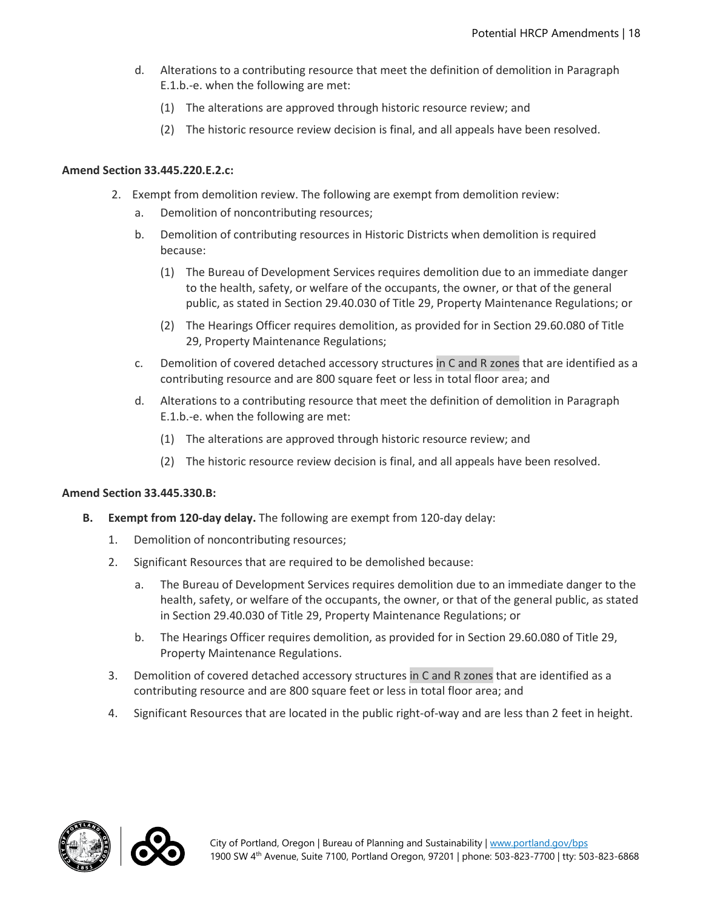- d. Alterations to a contributing resource that meet the definition of demolition in Paragraph E.1.b.-e. when the following are met:
	- (1) The alterations are approved through historic resource review; and
	- (2) The historic resource review decision is final, and all appeals have been resolved.

#### **Amend Section 33.445.220.E.2.c:**

- 2. Exempt from demolition review. The following are exempt from demolition review:
	- a. Demolition of noncontributing resources;
	- b. Demolition of contributing resources in Historic Districts when demolition is required because:
		- (1) The Bureau of Development Services requires demolition due to an immediate danger to the health, safety, or welfare of the occupants, the owner, or that of the general public, as stated in Section 29.40.030 of Title 29, Property Maintenance Regulations; or
		- (2) The Hearings Officer requires demolition, as provided for in Section 29.60.080 of Title 29, Property Maintenance Regulations;
	- c. Demolition of covered detached accessory structures in C and R zones that are identified as a contributing resource and are 800 square feet or less in total floor area; and
	- d. Alterations to a contributing resource that meet the definition of demolition in Paragraph E.1.b.-e. when the following are met:
		- (1) The alterations are approved through historic resource review; and
		- (2) The historic resource review decision is final, and all appeals have been resolved.

#### **Amend Section 33.445.330.B:**

- **B. Exempt from 120-day delay.** The following are exempt from 120-day delay:
	- 1. Demolition of noncontributing resources;
	- 2. Significant Resources that are required to be demolished because:
		- a. The Bureau of Development Services requires demolition due to an immediate danger to the health, safety, or welfare of the occupants, the owner, or that of the general public, as stated in Section 29.40.030 of Title 29, Property Maintenance Regulations; or
		- b. The Hearings Officer requires demolition, as provided for in Section 29.60.080 of Title 29, Property Maintenance Regulations.
	- 3. Demolition of covered detached accessory structures in C and R zones that are identified as a contributing resource and are 800 square feet or less in total floor area; and
	- 4. Significant Resources that are located in the public right-of-way and are less than 2 feet in height.



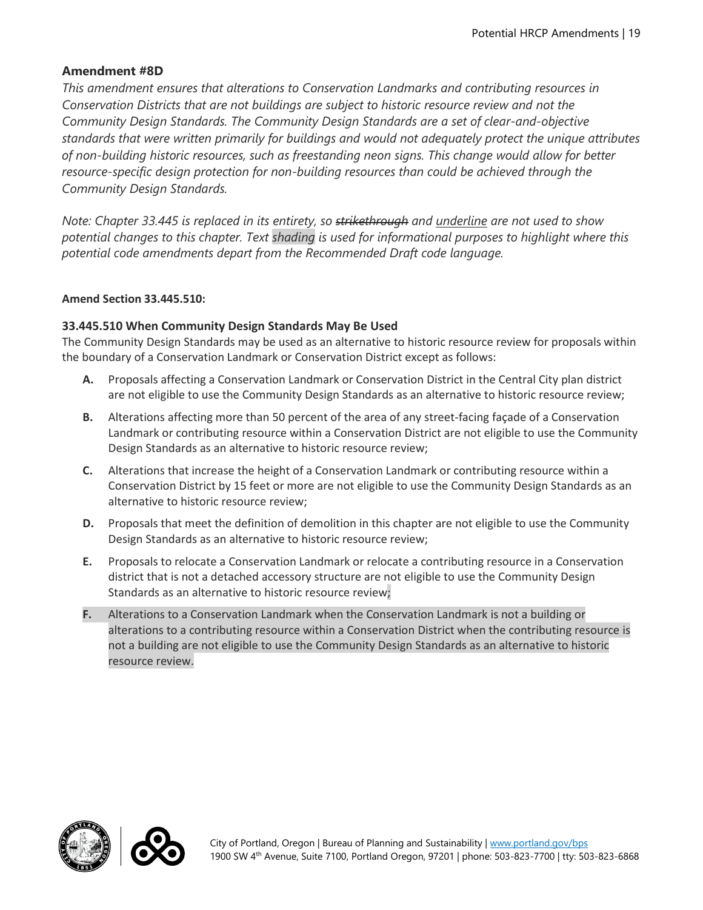## **Amendment #8D**

*This amendment ensures that alterations to Conservation Landmarks and contributing resources in Conservation Districts that are not buildings are subject to historic resource review and not the Community Design Standards. The Community Design Standards are a set of clear-and-objective standards that were written primarily for buildings and would not adequately protect the unique attributes of non-building historic resources, such as freestanding neon signs. This change would allow for better resource-specific design protection for non-building resources than could be achieved through the Community Design Standards.*

*Note: Chapter 33.445 is replaced in its entirety, so strikethrough and underline are not used to show potential changes to this chapter. Text shading is used for informational purposes to highlight where this potential code amendments depart from the Recommended Draft code language.*

#### **Amend Section 33.445.510:**

#### **33.445.510 When Community Design Standards May Be Used**

The Community Design Standards may be used as an alternative to historic resource review for proposals within the boundary of a Conservation Landmark or Conservation District except as follows:

- **A.** Proposals affecting a Conservation Landmark or Conservation District in the Central City plan district are not eligible to use the Community Design Standards as an alternative to historic resource review;
- **B.** Alterations affecting more than 50 percent of the area of any street-facing façade of a Conservation Landmark or contributing resource within a Conservation District are not eligible to use the Community Design Standards as an alternative to historic resource review;
- **C.** Alterations that increase the height of a Conservation Landmark or contributing resource within a Conservation District by 15 feet or more are not eligible to use the Community Design Standards as an alternative to historic resource review;
- **D.** Proposals that meet the definition of demolition in this chapter are not eligible to use the Community Design Standards as an alternative to historic resource review;
- **E.** Proposals to relocate a Conservation Landmark or relocate a contributing resource in a Conservation district that is not a detached accessory structure are not eligible to use the Community Design Standards as an alternative to historic resource review;
- **F.** Alterations to a Conservation Landmark when the Conservation Landmark is not a building or alterations to a contributing resource within a Conservation District when the contributing resource is not a building are not eligible to use the Community Design Standards as an alternative to historic resource review.



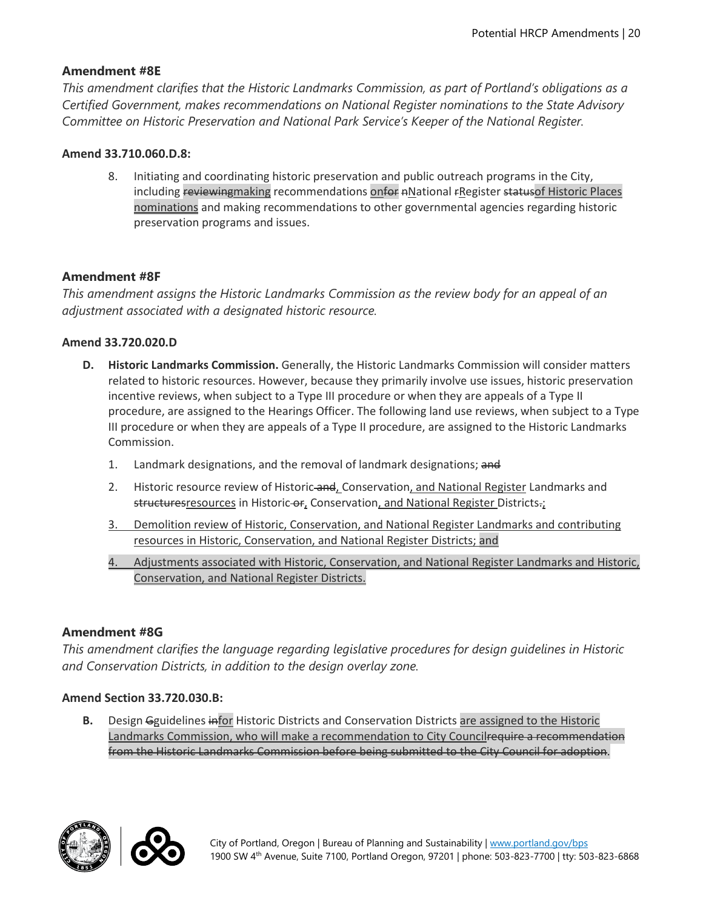## **Amendment #8E**

*This amendment clarifies that the Historic Landmarks Commission, as part of Portland's obligations as a Certified Government, makes recommendations on National Register nominations to the State Advisory Committee on Historic Preservation and National Park Service's Keeper of the National Register.* 

#### **Amend 33.710.060.D.8:**

8. Initiating and coordinating historic preservation and public outreach programs in the City, including reviewingmaking recommendations onfor nNational rRegister statusof Historic Places nominations and making recommendations to other governmental agencies regarding historic preservation programs and issues.

## **Amendment #8F**

*This amendment assigns the Historic Landmarks Commission as the review body for an appeal of an adjustment associated with a designated historic resource.*

#### **Amend 33.720.020.D**

- **D. Historic Landmarks Commission.** Generally, the Historic Landmarks Commission will consider matters related to historic resources. However, because they primarily involve use issues, historic preservation incentive reviews, when subject to a Type III procedure or when they are appeals of a Type II procedure, are assigned to the Hearings Officer. The following land use reviews, when subject to a Type III procedure or when they are appeals of a Type II procedure, are assigned to the Historic Landmarks Commission.
	- 1. Landmark designations, and the removal of landmark designations; and
	- 2. Historic resource review of Historic-and, Conservation, and National Register Landmarks and structuresresources in Historic-or, Conservation, and National Register Districts-;
	- 3. Demolition review of Historic, Conservation, and National Register Landmarks and contributing resources in Historic, Conservation, and National Register Districts; and
	- 4. Adjustments associated with Historic, Conservation, and National Register Landmarks and Historic, Conservation, and National Register Districts.

#### **Amendment #8G**

*This amendment clarifies the language regarding legislative procedures for design guidelines in Historic and Conservation Districts, in addition to the design overlay zone.* 

#### **Amend Section 33.720.030.B:**

**B.** Design Gguidelines infor Historic Districts and Conservation Districts are assigned to the Historic Landmarks Commission, who will make a recommendation to City Councilrequire a recommendation from the Historic Landmarks Commission before being submitted to the City Council for adoption.



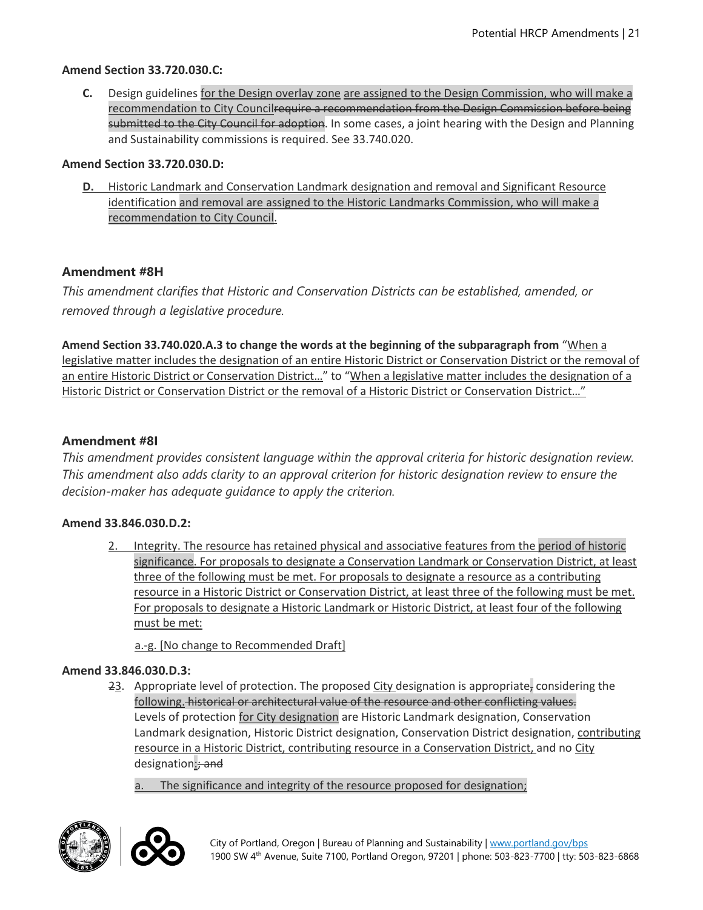#### **Amend Section 33.720.030.C:**

**C.** Design guidelines for the Design overlay zone are assigned to the Design Commission, who will make a recommendation to City Councilrequire a recommendation from the Design Commission before being submitted to the City Council for adoption. In some cases, a joint hearing with the Design and Planning and Sustainability commissions is required. See 33.740.020.

#### **Amend Section 33.720.030.D:**

**D.** Historic Landmark and Conservation Landmark designation and removal and Significant Resource identification and removal are assigned to the Historic Landmarks Commission, who will make a recommendation to City Council.

#### **Amendment #8H**

*This amendment clarifies that Historic and Conservation Districts can be established, amended, or removed through a legislative procedure.*

**Amend Section 33.740.020.A.3 to change the words at the beginning of the subparagraph from** "When a legislative matter includes the designation of an entire Historic District or Conservation District or the removal of an entire Historic District or Conservation District..." to "When a legislative matter includes the designation of a Historic District or Conservation District or the removal of a Historic District or Conservation District..."

#### **Amendment #8I**

*This amendment provides consistent language within the approval criteria for historic designation review. This amendment also adds clarity to an approval criterion for historic designation review to ensure the decision-maker has adequate guidance to apply the criterion.* 

#### **Amend 33.846.030.D.2:**

2. Integrity. The resource has retained physical and associative features from the period of historic significance. For proposals to designate a Conservation Landmark or Conservation District, at least three of the following must be met. For proposals to designate a resource as a contributing resource in a Historic District or Conservation District, at least three of the following must be met. For proposals to designate a Historic Landmark or Historic District, at least four of the following must be met:

a.-g. [No change to Recommended Draft]

#### **Amend 33.846.030.D.3:**

23. Appropriate level of protection. The proposed City designation is appropriate, considering the following. historical or architectural value of the resource and other conflicting values. Levels of protection for City designation are Historic Landmark designation, Conservation Landmark designation, Historic District designation, Conservation District designation, contributing resource in a Historic District, contributing resource in a Conservation District, and no City designation: and

a. The significance and integrity of the resource proposed for designation;



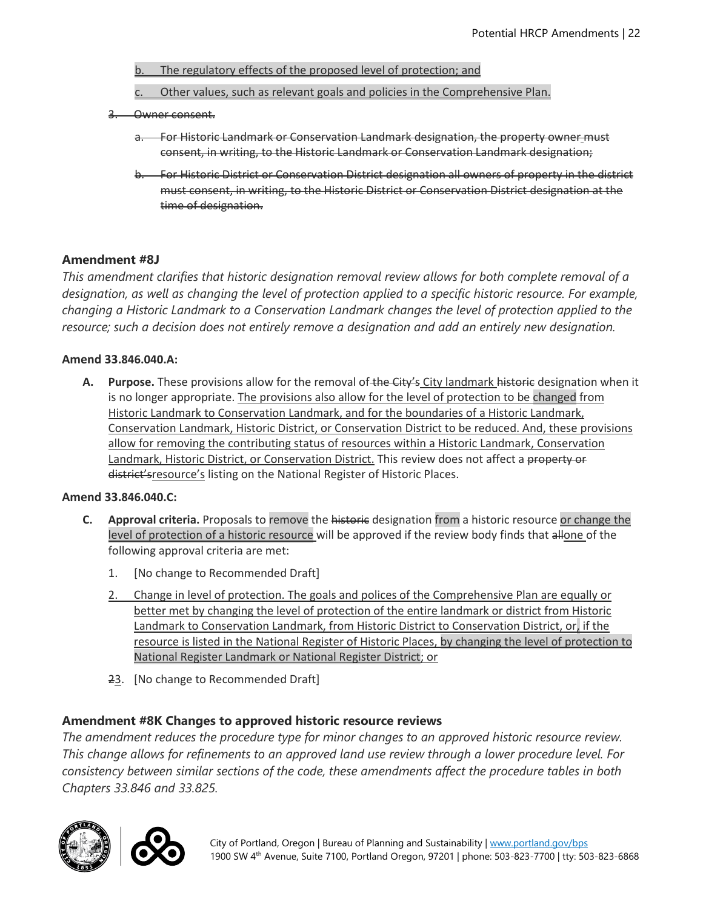- b. The regulatory effects of the proposed level of protection; and
- c. Other values, such as relevant goals and policies in the Comprehensive Plan.
- 3. Owner consent.
	- a. For Historic Landmark or Conservation Landmark designation, the property owner must consent, in writing, to the Historic Landmark or Conservation Landmark designation;
	- b. For Historic District or Conservation District designation all owners of property in the district must consent, in writing, to the Historic District or Conservation District designation at the time of designation.

## **Amendment #8J**

*This amendment clarifies that historic designation removal review allows for both complete removal of a designation, as well as changing the level of protection applied to a specific historic resource. For example, changing a Historic Landmark to a Conservation Landmark changes the level of protection applied to the resource; such a decision does not entirely remove a designation and add an entirely new designation.* 

#### **Amend 33.846.040.A:**

**A. Purpose.** These provisions allow for the removal of the City's City landmark historic designation when it is no longer appropriate. The provisions also allow for the level of protection to be changed from Historic Landmark to Conservation Landmark, and for the boundaries of a Historic Landmark, Conservation Landmark, Historic District, or Conservation District to be reduced. And, these provisions allow for removing the contributing status of resources within a Historic Landmark, Conservation Landmark, Historic District, or Conservation District. This review does not affect a property or district'sresource's listing on the National Register of Historic Places.

#### **Amend 33.846.040.C:**

- **C. Approval criteria.** Proposals to remove the historic designation from a historic resource or change the level of protection of a historic resource will be approved if the review body finds that allone of the following approval criteria are met:
	- 1. [No change to Recommended Draft]
	- 2. Change in level of protection. The goals and polices of the Comprehensive Plan are equally or better met by changing the level of protection of the entire landmark or district from Historic Landmark to Conservation Landmark, from Historic District to Conservation District, or, if the resource is listed in the National Register of Historic Places, by changing the level of protection to National Register Landmark or National Register District; or
	- 23. [No change to Recommended Draft]

## **Amendment #8K Changes to approved historic resource reviews**

*The amendment reduces the procedure type for minor changes to an approved historic resource review. This change allows for refinements to an approved land use review through a lower procedure level. For consistency between similar sections of the code, these amendments affect the procedure tables in both Chapters 33.846 and 33.825.* 



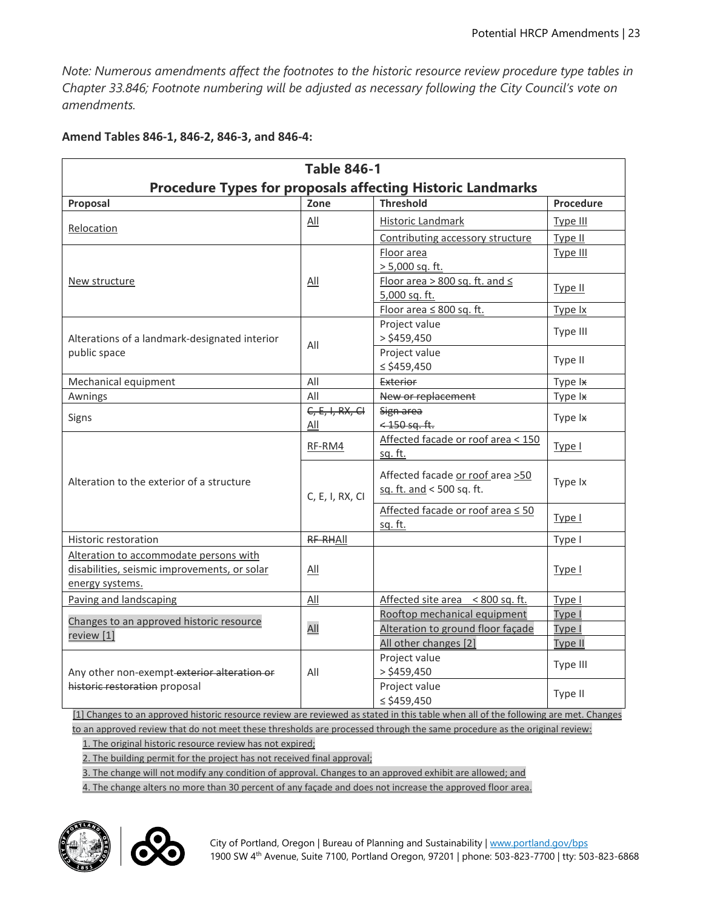*Note: Numerous amendments affect the footnotes to the historic resource review procedure type tables in Chapter 33.846; Footnote numbering will be adjusted as necessary following the City Council's vote on amendments.*

| <b>Table 846-1</b>                                                                                        |                          |                                                               |           |  |  |
|-----------------------------------------------------------------------------------------------------------|--------------------------|---------------------------------------------------------------|-----------|--|--|
| <b>Procedure Types for proposals affecting Historic Landmarks</b>                                         |                          |                                                               |           |  |  |
| Proposal                                                                                                  | Zone                     | <b>Threshold</b>                                              | Procedure |  |  |
| Relocation                                                                                                | All                      | <b>Historic Landmark</b>                                      | Type III  |  |  |
|                                                                                                           |                          | Contributing accessory structure                              | Type II   |  |  |
|                                                                                                           |                          | Floor area<br>$> 5,000$ sq. ft.                               | Type III  |  |  |
| New structure                                                                                             | All                      | Floor area > 800 sq. ft. and ≤<br>5,000 sq. ft.               | Type II   |  |  |
|                                                                                                           |                          | Floor area ≤ 800 sq. ft.                                      | Type Ix   |  |  |
| Alterations of a landmark-designated interior                                                             | All                      | Project value<br>$>$ \$459,450                                | Type III  |  |  |
| public space                                                                                              |                          | Project value<br>$\le$ \$459,450                              | Type II   |  |  |
| Mechanical equipment                                                                                      | All                      | Exterior                                                      | Type Ix   |  |  |
| Awnings                                                                                                   | All                      | New or replacement                                            | Type Ix   |  |  |
| Signs                                                                                                     | $C, E, I, RX, CI$<br>All | Sign area<br>$<$ 450 sq. ft.                                  | Type Ix   |  |  |
|                                                                                                           | RF-RM4                   | Affected facade or roof area < 150<br><u>sq. ft.</u>          | Type I    |  |  |
| Alteration to the exterior of a structure                                                                 | C, E, I, RX, CI          | Affected facade or roof area >50<br>sq. ft. and < 500 sq. ft. | Type Ix   |  |  |
|                                                                                                           |                          | Affected facade or roof area ≤ 50<br>sq. ft.                  | Type I    |  |  |
| Historic restoration                                                                                      | RF-RHAII                 |                                                               | Type I    |  |  |
| Alteration to accommodate persons with<br>disabilities, seismic improvements, or solar<br>energy systems. | All                      |                                                               | Type I    |  |  |
| Paving and landscaping                                                                                    | All                      | Affected site area < 800 sq. ft.                              | Type I    |  |  |
|                                                                                                           |                          | Rooftop mechanical equipment                                  | Type I    |  |  |
| Changes to an approved historic resource<br>review [1]                                                    | All                      | Alteration to ground floor façade                             | Type I    |  |  |
|                                                                                                           |                          | All other changes [2]                                         | Type II   |  |  |
| Any other non-exempt exterior alteration or                                                               | All                      | Project value<br>$>$ \$459,450                                | Type III  |  |  |
| historic restoration proposal                                                                             |                          | Project value<br>$\le$ \$459,450                              | Type II   |  |  |

**Amend Tables 846-1, 846-2, 846-3, and 846-4:**

[1] Changes to an approved historic resource review are reviewed as stated in this table when all of the following are met. Changes to an approved review that do not meet these thresholds are processed through the same procedure as the original review:

1. The original historic resource review has not expired;

2. The building permit for the project has not received final approval;

3. The change will not modify any condition of approval. Changes to an approved exhibit are allowed; and

4. The change alters no more than 30 percent of any façade and does not increase the approved floor area.



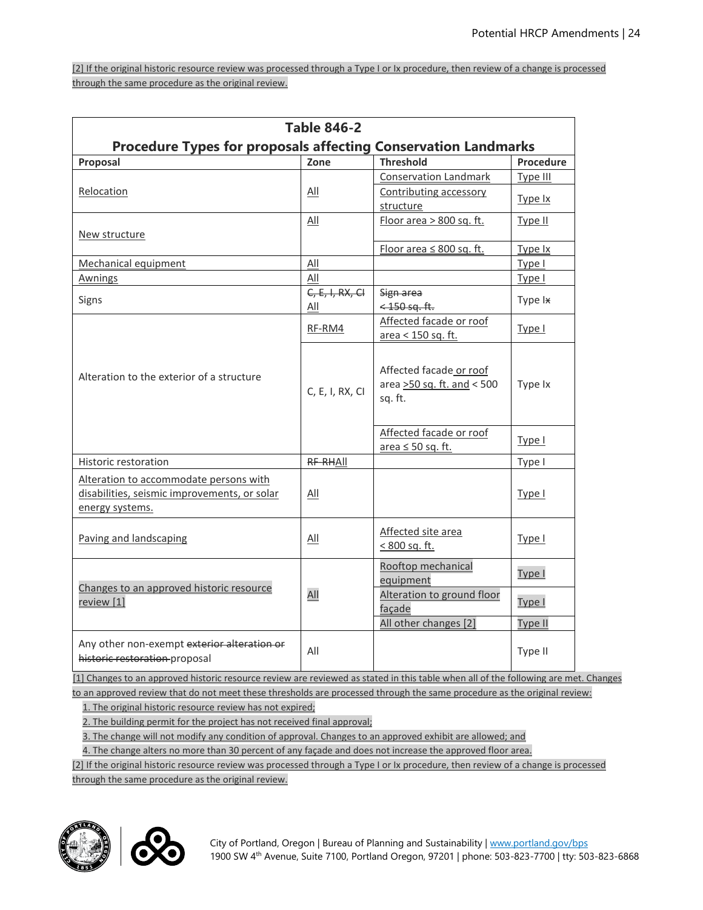[2] If the original historic resource review was processed through a Type I or Ix procedure, then review of a change is processed through the same procedure as the original review.

| <b>Table 846-2</b>                                                                                        |                   |                                                                  |                |  |  |
|-----------------------------------------------------------------------------------------------------------|-------------------|------------------------------------------------------------------|----------------|--|--|
| <b>Procedure Types for proposals affecting Conservation Landmarks</b>                                     |                   |                                                                  |                |  |  |
| Proposal                                                                                                  | Zone              | <b>Threshold</b>                                                 | Procedure      |  |  |
|                                                                                                           |                   | <b>Conservation Landmark</b>                                     | Type III       |  |  |
| Relocation                                                                                                | <b>All</b>        | Contributing accessory                                           | Type Ix        |  |  |
|                                                                                                           |                   | structure                                                        |                |  |  |
|                                                                                                           | <b>All</b>        | Floor area > 800 sq. ft.                                         | Type II        |  |  |
| New structure                                                                                             |                   |                                                                  |                |  |  |
|                                                                                                           |                   | Floor area $\leq 800$ sq. ft.                                    | Type Ix        |  |  |
| Mechanical equipment                                                                                      | All               |                                                                  | Type I         |  |  |
| Awnings                                                                                                   | All               |                                                                  | Type I         |  |  |
| Signs                                                                                                     | $C, E, I, RX, CI$ | Sign area                                                        | Type Ix        |  |  |
|                                                                                                           | All               | $<$ 150 sq. ft.                                                  |                |  |  |
|                                                                                                           | RF-RM4            | Affected facade or roof                                          | Type I         |  |  |
|                                                                                                           |                   | area < 150 sq. ft.                                               |                |  |  |
| Alteration to the exterior of a structure                                                                 | C, E, I, RX, CI   | Affected facade or roof<br>area >50 sq. ft. and < 500<br>sq. ft. | Type Ix        |  |  |
|                                                                                                           |                   | Affected facade or roof<br>area ≤ 50 sq. ft.                     | Type I         |  |  |
| Historic restoration                                                                                      | RF-RHAII          |                                                                  | Type I         |  |  |
| Alteration to accommodate persons with<br>disabilities, seismic improvements, or solar<br>energy systems. | All               |                                                                  | Type I         |  |  |
| Paving and landscaping                                                                                    | All               | Affected site area<br>< 800 sq. ft.                              | Type I         |  |  |
| Changes to an approved historic resource                                                                  |                   | Rooftop mechanical<br>equipment                                  | Type I         |  |  |
| review [1]                                                                                                | All               | Alteration to ground floor<br>façade                             | Type I         |  |  |
|                                                                                                           |                   | All other changes [2]                                            | <b>Type II</b> |  |  |
| Any other non-exempt exterior alteration or<br>historic restoration proposal                              | All               |                                                                  | Type II        |  |  |

[1] Changes to an approved historic resource review are reviewed as stated in this table when all of the following are met. Changes to an approved review that do not meet these thresholds are processed through the same procedure as the original review:

1. The original historic resource review has not expired;

2. The building permit for the project has not received final approval;

3. The change will not modify any condition of approval. Changes to an approved exhibit are allowed; and

4. The change alters no more than 30 percent of any façade and does not increase the approved floor area.

[2] If the original historic resource review was processed through a Type I or Ix procedure, then review of a change is processed through the same procedure as the original review.



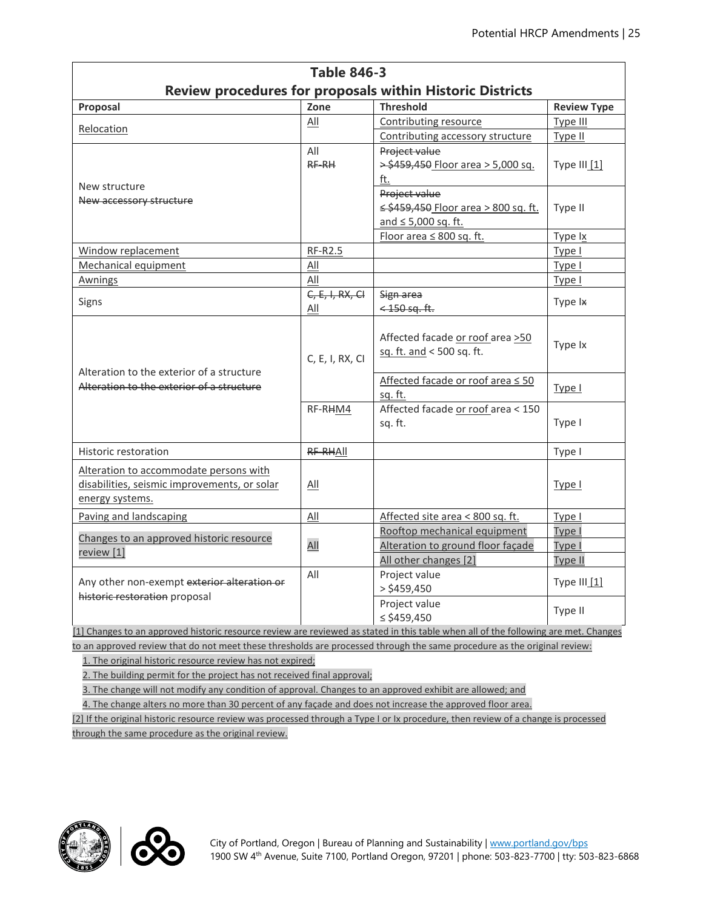| Review procedures for proposals within Historic Districts<br>Zone<br><b>Threshold</b><br><b>Review Type</b><br>Proposal<br>Contributing resource<br>Type III<br>All<br>Relocation<br>Contributing accessory structure<br>Type II<br>All<br>Project value<br>RF-RH<br>> \$459,450 Floor area > 5,000 sq.<br>Type $III_1$<br>ft.<br>New structure<br>Project value<br>New accessory structure<br>≤ \$459,450 Floor area > 800 sq. ft.<br>Type II<br>and $\leq 5,000$ sq. ft.<br>Floor area ≤ 800 sq. ft.<br>Type Ix<br>Window replacement<br><b>RF-R2.5</b><br>Type I<br>$\underline{All}$<br>Mechanical equipment<br>Type I<br>All<br><b>Awnings</b><br>Type I<br>$C, E, I, RX, CI$<br>Sign area<br>Signs<br>Type Ix<br>All<br>$<$ 150 sq. ft.<br>Affected facade or roof area >50<br>Type Ix<br>sq. ft. and < 500 sq. ft.<br>C, E, I, RX, CI<br>Alteration to the exterior of a structure<br>Affected facade or roof area ≤ 50<br>Alteration to the exterior of a structure<br>Type I<br>sq. ft.<br>Affected facade or roof area < 150<br>RF-RHM4<br>Type I<br>sg. ft.<br><b>Historic restoration</b><br>RF-RHAII<br>Type I<br>Alteration to accommodate persons with<br>disabilities, seismic improvements, or solar<br>All<br>Type I<br>energy systems.<br>All<br>Affected site area < 800 sq. ft.<br>Paving and landscaping<br>Type I<br>Rooftop mechanical equipment<br>Type I<br>Changes to an approved historic resource<br>All<br>Alteration to ground floor facade<br>Type I<br>review [1]<br>All other changes [2]<br>Type II<br>All<br>Project value<br>Type III [1]<br>Any other non-exempt exterior alteration or<br>$>$ \$459,450<br>historic restoration proposal<br>Project value<br>Type II<br>≤ \$459,450 | <b>Table 846-3</b> |  |  |  |  |  |
|----------------------------------------------------------------------------------------------------------------------------------------------------------------------------------------------------------------------------------------------------------------------------------------------------------------------------------------------------------------------------------------------------------------------------------------------------------------------------------------------------------------------------------------------------------------------------------------------------------------------------------------------------------------------------------------------------------------------------------------------------------------------------------------------------------------------------------------------------------------------------------------------------------------------------------------------------------------------------------------------------------------------------------------------------------------------------------------------------------------------------------------------------------------------------------------------------------------------------------------------------------------------------------------------------------------------------------------------------------------------------------------------------------------------------------------------------------------------------------------------------------------------------------------------------------------------------------------------------------------------------------------------------------------------------------------------------------------------------|--------------------|--|--|--|--|--|
|                                                                                                                                                                                                                                                                                                                                                                                                                                                                                                                                                                                                                                                                                                                                                                                                                                                                                                                                                                                                                                                                                                                                                                                                                                                                                                                                                                                                                                                                                                                                                                                                                                                                                                                            |                    |  |  |  |  |  |
|                                                                                                                                                                                                                                                                                                                                                                                                                                                                                                                                                                                                                                                                                                                                                                                                                                                                                                                                                                                                                                                                                                                                                                                                                                                                                                                                                                                                                                                                                                                                                                                                                                                                                                                            |                    |  |  |  |  |  |
|                                                                                                                                                                                                                                                                                                                                                                                                                                                                                                                                                                                                                                                                                                                                                                                                                                                                                                                                                                                                                                                                                                                                                                                                                                                                                                                                                                                                                                                                                                                                                                                                                                                                                                                            |                    |  |  |  |  |  |
|                                                                                                                                                                                                                                                                                                                                                                                                                                                                                                                                                                                                                                                                                                                                                                                                                                                                                                                                                                                                                                                                                                                                                                                                                                                                                                                                                                                                                                                                                                                                                                                                                                                                                                                            |                    |  |  |  |  |  |
|                                                                                                                                                                                                                                                                                                                                                                                                                                                                                                                                                                                                                                                                                                                                                                                                                                                                                                                                                                                                                                                                                                                                                                                                                                                                                                                                                                                                                                                                                                                                                                                                                                                                                                                            |                    |  |  |  |  |  |
|                                                                                                                                                                                                                                                                                                                                                                                                                                                                                                                                                                                                                                                                                                                                                                                                                                                                                                                                                                                                                                                                                                                                                                                                                                                                                                                                                                                                                                                                                                                                                                                                                                                                                                                            |                    |  |  |  |  |  |
|                                                                                                                                                                                                                                                                                                                                                                                                                                                                                                                                                                                                                                                                                                                                                                                                                                                                                                                                                                                                                                                                                                                                                                                                                                                                                                                                                                                                                                                                                                                                                                                                                                                                                                                            |                    |  |  |  |  |  |
|                                                                                                                                                                                                                                                                                                                                                                                                                                                                                                                                                                                                                                                                                                                                                                                                                                                                                                                                                                                                                                                                                                                                                                                                                                                                                                                                                                                                                                                                                                                                                                                                                                                                                                                            |                    |  |  |  |  |  |
|                                                                                                                                                                                                                                                                                                                                                                                                                                                                                                                                                                                                                                                                                                                                                                                                                                                                                                                                                                                                                                                                                                                                                                                                                                                                                                                                                                                                                                                                                                                                                                                                                                                                                                                            |                    |  |  |  |  |  |
|                                                                                                                                                                                                                                                                                                                                                                                                                                                                                                                                                                                                                                                                                                                                                                                                                                                                                                                                                                                                                                                                                                                                                                                                                                                                                                                                                                                                                                                                                                                                                                                                                                                                                                                            |                    |  |  |  |  |  |
|                                                                                                                                                                                                                                                                                                                                                                                                                                                                                                                                                                                                                                                                                                                                                                                                                                                                                                                                                                                                                                                                                                                                                                                                                                                                                                                                                                                                                                                                                                                                                                                                                                                                                                                            |                    |  |  |  |  |  |
|                                                                                                                                                                                                                                                                                                                                                                                                                                                                                                                                                                                                                                                                                                                                                                                                                                                                                                                                                                                                                                                                                                                                                                                                                                                                                                                                                                                                                                                                                                                                                                                                                                                                                                                            |                    |  |  |  |  |  |
|                                                                                                                                                                                                                                                                                                                                                                                                                                                                                                                                                                                                                                                                                                                                                                                                                                                                                                                                                                                                                                                                                                                                                                                                                                                                                                                                                                                                                                                                                                                                                                                                                                                                                                                            |                    |  |  |  |  |  |
|                                                                                                                                                                                                                                                                                                                                                                                                                                                                                                                                                                                                                                                                                                                                                                                                                                                                                                                                                                                                                                                                                                                                                                                                                                                                                                                                                                                                                                                                                                                                                                                                                                                                                                                            |                    |  |  |  |  |  |
|                                                                                                                                                                                                                                                                                                                                                                                                                                                                                                                                                                                                                                                                                                                                                                                                                                                                                                                                                                                                                                                                                                                                                                                                                                                                                                                                                                                                                                                                                                                                                                                                                                                                                                                            |                    |  |  |  |  |  |
|                                                                                                                                                                                                                                                                                                                                                                                                                                                                                                                                                                                                                                                                                                                                                                                                                                                                                                                                                                                                                                                                                                                                                                                                                                                                                                                                                                                                                                                                                                                                                                                                                                                                                                                            |                    |  |  |  |  |  |
|                                                                                                                                                                                                                                                                                                                                                                                                                                                                                                                                                                                                                                                                                                                                                                                                                                                                                                                                                                                                                                                                                                                                                                                                                                                                                                                                                                                                                                                                                                                                                                                                                                                                                                                            |                    |  |  |  |  |  |
|                                                                                                                                                                                                                                                                                                                                                                                                                                                                                                                                                                                                                                                                                                                                                                                                                                                                                                                                                                                                                                                                                                                                                                                                                                                                                                                                                                                                                                                                                                                                                                                                                                                                                                                            |                    |  |  |  |  |  |
|                                                                                                                                                                                                                                                                                                                                                                                                                                                                                                                                                                                                                                                                                                                                                                                                                                                                                                                                                                                                                                                                                                                                                                                                                                                                                                                                                                                                                                                                                                                                                                                                                                                                                                                            |                    |  |  |  |  |  |
|                                                                                                                                                                                                                                                                                                                                                                                                                                                                                                                                                                                                                                                                                                                                                                                                                                                                                                                                                                                                                                                                                                                                                                                                                                                                                                                                                                                                                                                                                                                                                                                                                                                                                                                            |                    |  |  |  |  |  |
|                                                                                                                                                                                                                                                                                                                                                                                                                                                                                                                                                                                                                                                                                                                                                                                                                                                                                                                                                                                                                                                                                                                                                                                                                                                                                                                                                                                                                                                                                                                                                                                                                                                                                                                            |                    |  |  |  |  |  |
|                                                                                                                                                                                                                                                                                                                                                                                                                                                                                                                                                                                                                                                                                                                                                                                                                                                                                                                                                                                                                                                                                                                                                                                                                                                                                                                                                                                                                                                                                                                                                                                                                                                                                                                            |                    |  |  |  |  |  |
|                                                                                                                                                                                                                                                                                                                                                                                                                                                                                                                                                                                                                                                                                                                                                                                                                                                                                                                                                                                                                                                                                                                                                                                                                                                                                                                                                                                                                                                                                                                                                                                                                                                                                                                            |                    |  |  |  |  |  |
|                                                                                                                                                                                                                                                                                                                                                                                                                                                                                                                                                                                                                                                                                                                                                                                                                                                                                                                                                                                                                                                                                                                                                                                                                                                                                                                                                                                                                                                                                                                                                                                                                                                                                                                            |                    |  |  |  |  |  |
|                                                                                                                                                                                                                                                                                                                                                                                                                                                                                                                                                                                                                                                                                                                                                                                                                                                                                                                                                                                                                                                                                                                                                                                                                                                                                                                                                                                                                                                                                                                                                                                                                                                                                                                            |                    |  |  |  |  |  |
|                                                                                                                                                                                                                                                                                                                                                                                                                                                                                                                                                                                                                                                                                                                                                                                                                                                                                                                                                                                                                                                                                                                                                                                                                                                                                                                                                                                                                                                                                                                                                                                                                                                                                                                            |                    |  |  |  |  |  |
|                                                                                                                                                                                                                                                                                                                                                                                                                                                                                                                                                                                                                                                                                                                                                                                                                                                                                                                                                                                                                                                                                                                                                                                                                                                                                                                                                                                                                                                                                                                                                                                                                                                                                                                            |                    |  |  |  |  |  |
|                                                                                                                                                                                                                                                                                                                                                                                                                                                                                                                                                                                                                                                                                                                                                                                                                                                                                                                                                                                                                                                                                                                                                                                                                                                                                                                                                                                                                                                                                                                                                                                                                                                                                                                            |                    |  |  |  |  |  |
|                                                                                                                                                                                                                                                                                                                                                                                                                                                                                                                                                                                                                                                                                                                                                                                                                                                                                                                                                                                                                                                                                                                                                                                                                                                                                                                                                                                                                                                                                                                                                                                                                                                                                                                            |                    |  |  |  |  |  |
|                                                                                                                                                                                                                                                                                                                                                                                                                                                                                                                                                                                                                                                                                                                                                                                                                                                                                                                                                                                                                                                                                                                                                                                                                                                                                                                                                                                                                                                                                                                                                                                                                                                                                                                            |                    |  |  |  |  |  |
|                                                                                                                                                                                                                                                                                                                                                                                                                                                                                                                                                                                                                                                                                                                                                                                                                                                                                                                                                                                                                                                                                                                                                                                                                                                                                                                                                                                                                                                                                                                                                                                                                                                                                                                            |                    |  |  |  |  |  |
|                                                                                                                                                                                                                                                                                                                                                                                                                                                                                                                                                                                                                                                                                                                                                                                                                                                                                                                                                                                                                                                                                                                                                                                                                                                                                                                                                                                                                                                                                                                                                                                                                                                                                                                            |                    |  |  |  |  |  |
|                                                                                                                                                                                                                                                                                                                                                                                                                                                                                                                                                                                                                                                                                                                                                                                                                                                                                                                                                                                                                                                                                                                                                                                                                                                                                                                                                                                                                                                                                                                                                                                                                                                                                                                            |                    |  |  |  |  |  |
|                                                                                                                                                                                                                                                                                                                                                                                                                                                                                                                                                                                                                                                                                                                                                                                                                                                                                                                                                                                                                                                                                                                                                                                                                                                                                                                                                                                                                                                                                                                                                                                                                                                                                                                            |                    |  |  |  |  |  |
|                                                                                                                                                                                                                                                                                                                                                                                                                                                                                                                                                                                                                                                                                                                                                                                                                                                                                                                                                                                                                                                                                                                                                                                                                                                                                                                                                                                                                                                                                                                                                                                                                                                                                                                            |                    |  |  |  |  |  |
|                                                                                                                                                                                                                                                                                                                                                                                                                                                                                                                                                                                                                                                                                                                                                                                                                                                                                                                                                                                                                                                                                                                                                                                                                                                                                                                                                                                                                                                                                                                                                                                                                                                                                                                            |                    |  |  |  |  |  |

[1] Changes to an approved historic resource review are reviewed as stated in this table when all of the following are met. Changes to an approved review that do not meet these thresholds are processed through the same procedure as the original review:

1. The original historic resource review has not expired;

2. The building permit for the project has not received final approval;

3. The change will not modify any condition of approval. Changes to an approved exhibit are allowed; and

4. The change alters no more than 30 percent of any façade and does not increase the approved floor area.

[2] If the original historic resource review was processed through a Type I or Ix procedure, then review of a change is processed through the same procedure as the original review.



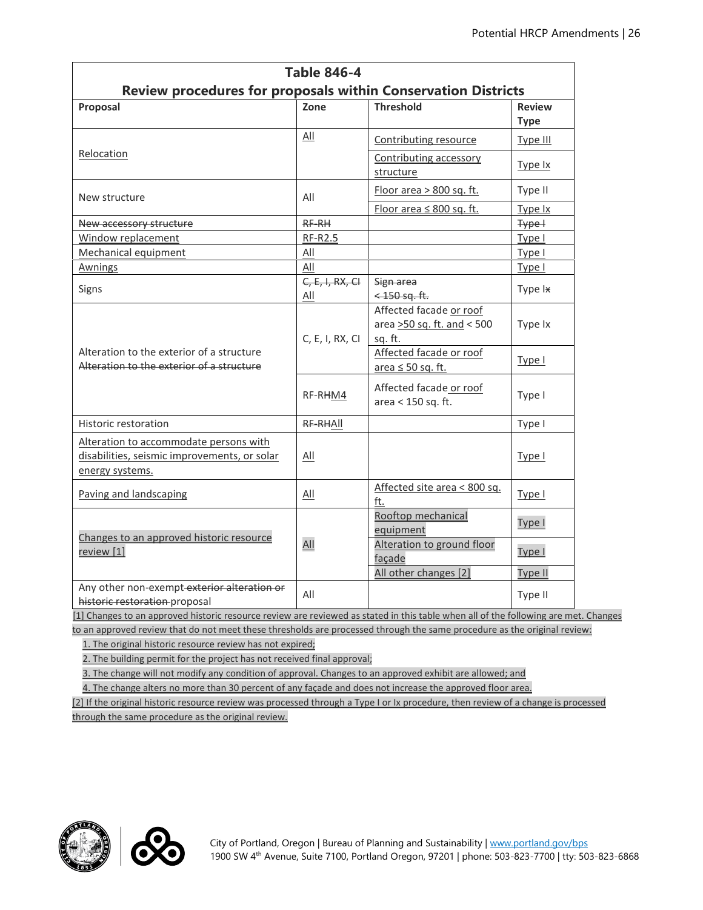| <b>Table 846-4</b>                                                                                        |                          |                                                                  |               |  |  |  |
|-----------------------------------------------------------------------------------------------------------|--------------------------|------------------------------------------------------------------|---------------|--|--|--|
| <b>Review procedures for proposals within Conservation Districts</b>                                      |                          |                                                                  |               |  |  |  |
| Proposal                                                                                                  | Zone                     | <b>Threshold</b>                                                 | <b>Review</b> |  |  |  |
|                                                                                                           |                          |                                                                  | <b>Type</b>   |  |  |  |
|                                                                                                           | All                      | Contributing resource                                            | Type III      |  |  |  |
| Relocation                                                                                                |                          | Contributing accessory<br>structure                              | Type Ix       |  |  |  |
| New structure                                                                                             | All                      | Floor area > 800 sq. ft.                                         | Type II       |  |  |  |
|                                                                                                           |                          | Floor area $\leq 800$ sq. ft.                                    | Type Ix       |  |  |  |
| New accessory structure                                                                                   | RF-RH                    |                                                                  | Type +        |  |  |  |
| Window replacement                                                                                        | RF-R2.5                  |                                                                  | Type I        |  |  |  |
| Mechanical equipment                                                                                      | All                      |                                                                  | Type I        |  |  |  |
| Awnings                                                                                                   | All                      |                                                                  | Type I        |  |  |  |
| Signs                                                                                                     | $C, E, I, RX, CI$<br>All | Sign area<br>$<$ 150 sq. ft.                                     | Type Ix       |  |  |  |
|                                                                                                           | C, E, I, RX, CI          | Affected facade or roof<br>area >50 sq. ft. and < 500<br>sq. ft. | Type Ix       |  |  |  |
| Alteration to the exterior of a structure<br>Alteration to the exterior of a structure                    |                          | Affected facade or roof<br>area $\leq 50$ sq. ft.                | Type I        |  |  |  |
|                                                                                                           | RF-RHM4                  | Affected facade or roof<br>area < 150 sq. ft.                    | Type I        |  |  |  |
| Historic restoration                                                                                      | RF-RHAII                 |                                                                  | Type I        |  |  |  |
| Alteration to accommodate persons with<br>disabilities, seismic improvements, or solar<br>energy systems. | All                      |                                                                  | Type I        |  |  |  |
| Paving and landscaping                                                                                    | All                      | Affected site area < 800 sq.<br>ft.                              | Type I        |  |  |  |
| Changes to an approved historic resource<br>review [1]                                                    | All                      | Rooftop mechanical<br>equipment                                  | Type I        |  |  |  |
|                                                                                                           |                          | Alteration to ground floor<br>façade                             | Type I        |  |  |  |
|                                                                                                           |                          | All other changes [2]                                            | Type II       |  |  |  |
| Any other non-exempt-exterior alteration or<br>historic restoration proposal                              | All                      |                                                                  | Type II       |  |  |  |

[1] Changes to an approved historic resource review are reviewed as stated in this table when all of the following are met. Changes to an approved review that do not meet these thresholds are processed through the same procedure as the original review:

1. The original historic resource review has not expired;

2. The building permit for the project has not received final approval;

3. The change will not modify any condition of approval. Changes to an approved exhibit are allowed; and

4. The change alters no more than 30 percent of any façade and does not increase the approved floor area.

[2] If the original historic resource review was processed through a Type I or Ix procedure, then review of a change is processed through the same procedure as the original review.



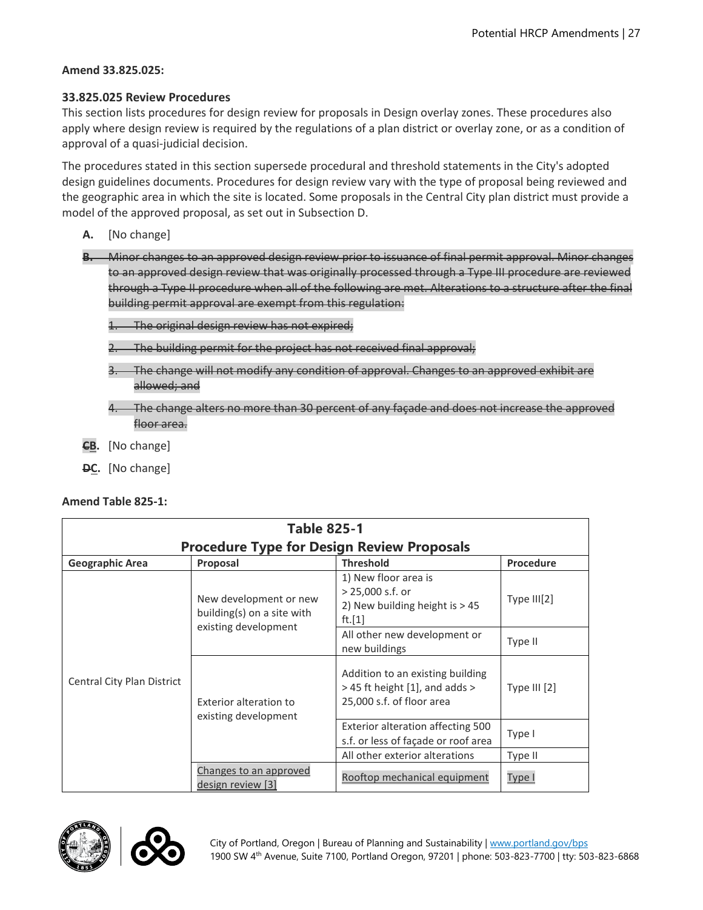#### **Amend 33.825.025:**

#### **33.825.025 Review Procedures**

This section lists procedures for design review for proposals in Design overlay zones. These procedures also apply where design review is required by the regulations of a plan district or overlay zone, or as a condition of approval of a quasi-judicial decision.

The procedures stated in this section supersede procedural and threshold statements in the City's adopted design guidelines documents. Procedures for design review vary with the type of proposal being reviewed and the geographic area in which the site is located. Some proposals in the Central City plan district must provide a model of the approved proposal, as set out in Subsection D.

- **A.** [No change]
- **B.** Minor changes to an approved design review prior to issuance of final permit approval. Minor changes to an approved design review that was originally processed through a Type III procedure are reviewed through a Type II procedure when all of the following are met. Alterations to a structure after the final building permit approval are exempt from this regulation:

1. The original design review has not expired;

- 2. The building permit for the project has not received final approval;
- 3. The change will not modify any condition of approval. Changes to an approved exhibit are allowed; and
- The change alters no more than 30 percent of any façade and does not increase the approved floor area.
- **CB.** [No change]
- **DC.** [No change]

| <b>Table 825-1</b>                                |                                                                              |                                                                                                     |                |  |  |  |
|---------------------------------------------------|------------------------------------------------------------------------------|-----------------------------------------------------------------------------------------------------|----------------|--|--|--|
| <b>Procedure Type for Design Review Proposals</b> |                                                                              |                                                                                                     |                |  |  |  |
| <b>Geographic Area</b>                            | Proposal                                                                     | <b>Threshold</b>                                                                                    | Procedure      |  |  |  |
| Central City Plan District                        | New development or new<br>building(s) on a site with<br>existing development | 1) New floor area is<br>$> 25,000$ s.f. or<br>2) New building height is > 45<br>ft.[1]              | Type III[2]    |  |  |  |
|                                                   |                                                                              | All other new development or<br>new buildings                                                       | Type II        |  |  |  |
|                                                   | Exterior alteration to<br>existing development                               | Addition to an existing building<br>$>$ 45 ft height [1], and adds $>$<br>25,000 s.f. of floor area | Type III $[2]$ |  |  |  |
|                                                   |                                                                              | Exterior alteration affecting 500<br>s.f. or less of façade or roof area                            | Type I         |  |  |  |
|                                                   |                                                                              | All other exterior alterations                                                                      | Type II        |  |  |  |
|                                                   | Changes to an approved<br>design review [3]                                  | Rooftop mechanical equipment                                                                        | Type I         |  |  |  |



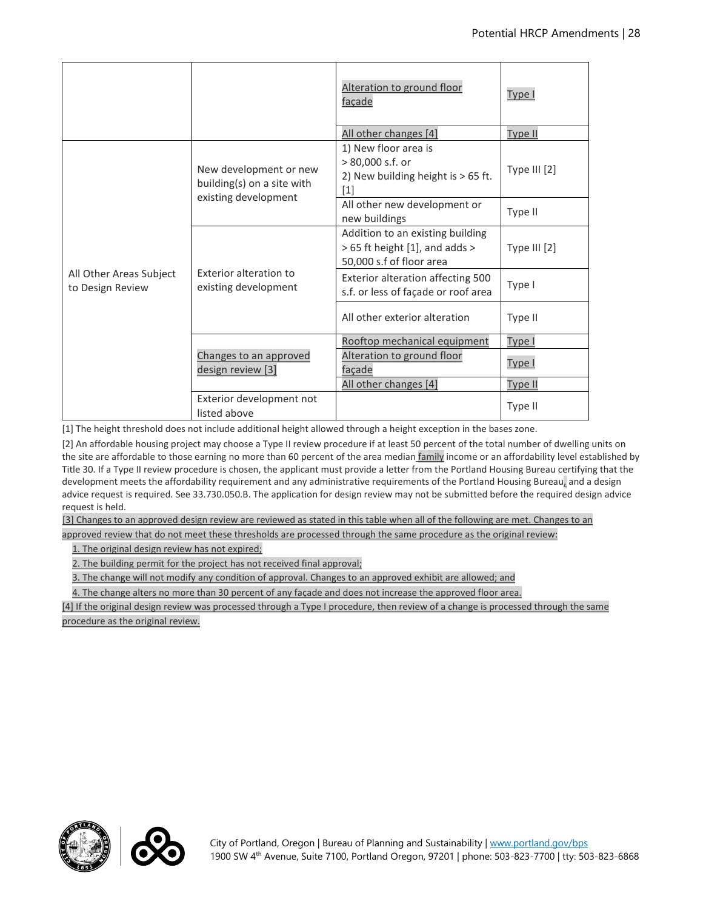|                                             |                                                                              | Alteration to ground floor<br>façade                                                           | Type I       |
|---------------------------------------------|------------------------------------------------------------------------------|------------------------------------------------------------------------------------------------|--------------|
|                                             |                                                                              | All other changes [4]                                                                          | Type II      |
| All Other Areas Subject<br>to Design Review | New development or new<br>building(s) on a site with<br>existing development | 1) New floor area is<br>> 80,000 s.f. or<br>2) New building height is > 65 ft.<br>$[1]$        | Type III [2] |
|                                             |                                                                              | All other new development or<br>new buildings                                                  | Type II      |
|                                             | Exterior alteration to<br>existing development                               | Addition to an existing building<br>> 65 ft height [1], and adds ><br>50,000 s.f of floor area | Type III [2] |
|                                             |                                                                              | Exterior alteration affecting 500<br>s.f. or less of façade or roof area                       | Type I       |
|                                             |                                                                              | All other exterior alteration                                                                  | Type II      |
|                                             | Changes to an approved<br>design review [3]                                  | Rooftop mechanical equipment                                                                   | Type I       |
|                                             |                                                                              | Alteration to ground floor<br>facade                                                           | Type I       |
|                                             |                                                                              | All other changes [4]                                                                          | Type II      |
|                                             | Exterior development not<br>listed above                                     |                                                                                                | Type II      |

[1] The height threshold does not include additional height allowed through a height exception in the bases zone.

[2] An affordable housing project may choose a Type II review procedure if at least 50 percent of the total number of dwelling units on the site are affordable to those earning no more than 60 percent of the area median family income or an affordability level established by Title 30. If a Type II review procedure is chosen, the applicant must provide a letter from the Portland Housing Bureau certifying that the development meets the affordability requirement and any administrative requirements of the Portland Housing Bureau, and a design advice request is required. See 33.730.050.B. The application for design review may not be submitted before the required design advice request is held.

[3] Changes to an approved design review are reviewed as stated in this table when all of the following are met. Changes to an

approved review that do not meet these thresholds are processed through the same procedure as the original review:

1. The original design review has not expired;

2. The building permit for the project has not received final approval;

3. The change will not modify any condition of approval. Changes to an approved exhibit are allowed; and

4. The change alters no more than 30 percent of any façade and does not increase the approved floor area.

[4] If the original design review was processed through a Type I procedure, then review of a change is processed through the same procedure as the original review.



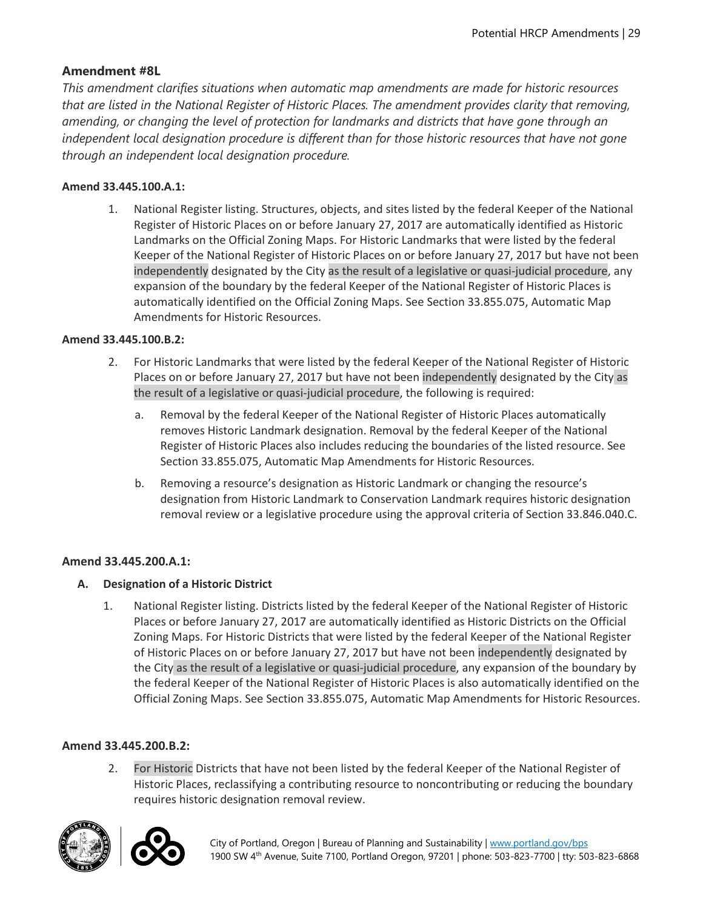## **Amendment #8L**

*This amendment clarifies situations when automatic map amendments are made for historic resources that are listed in the National Register of Historic Places. The amendment provides clarity that removing, amending, or changing the level of protection for landmarks and districts that have gone through an independent local designation procedure is different than for those historic resources that have not gone through an independent local designation procedure.* 

#### **Amend 33.445.100.A.1:**

1. National Register listing. Structures, objects, and sites listed by the federal Keeper of the National Register of Historic Places on or before January 27, 2017 are automatically identified as Historic Landmarks on the Official Zoning Maps. For Historic Landmarks that were listed by the federal Keeper of the National Register of Historic Places on or before January 27, 2017 but have not been independently designated by the City as the result of a legislative or quasi-judicial procedure, any expansion of the boundary by the federal Keeper of the National Register of Historic Places is automatically identified on the Official Zoning Maps. See Section 33.855.075, Automatic Map Amendments for Historic Resources.

#### **Amend 33.445.100.B.2:**

- 2. For Historic Landmarks that were listed by the federal Keeper of the National Register of Historic Places on or before January 27, 2017 but have not been independently designated by the City as the result of a legislative or quasi-judicial procedure, the following is required:
	- a. Removal by the federal Keeper of the National Register of Historic Places automatically removes Historic Landmark designation. Removal by the federal Keeper of the National Register of Historic Places also includes reducing the boundaries of the listed resource. See Section 33.855.075, Automatic Map Amendments for Historic Resources.
	- b. Removing a resource's designation as Historic Landmark or changing the resource's designation from Historic Landmark to Conservation Landmark requires historic designation removal review or a legislative procedure using the approval criteria of Section 33.846.040.C.

#### **Amend 33.445.200.A.1:**

- **A. Designation of a Historic District**
	- 1. National Register listing. Districts listed by the federal Keeper of the National Register of Historic Places or before January 27, 2017 are automatically identified as Historic Districts on the Official Zoning Maps. For Historic Districts that were listed by the federal Keeper of the National Register of Historic Places on or before January 27, 2017 but have not been independently designated by the City as the result of a legislative or quasi-judicial procedure, any expansion of the boundary by the federal Keeper of the National Register of Historic Places is also automatically identified on the Official Zoning Maps. See Section 33.855.075, Automatic Map Amendments for Historic Resources.

#### **Amend 33.445.200.B.2:**

2. For Historic Districts that have not been listed by the federal Keeper of the National Register of Historic Places, reclassifying a contributing resource to noncontributing or reducing the boundary requires historic designation removal review.